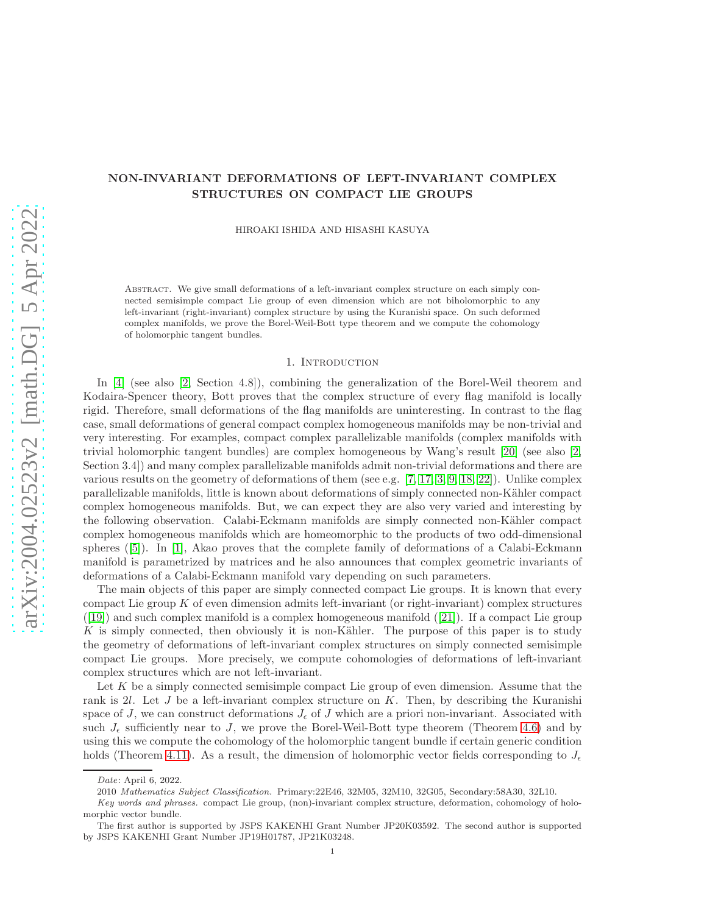# NON-INVARIANT DEFORMATIONS OF LEFT-INVARIANT COMPLEX STRUCTURES ON COMPACT LIE GROUPS

HIROAKI ISHIDA AND HISASHI KASUYA

Abstract. We give small deformations of a left-invariant complex structure on each simply connected semisimple compact Lie group of even dimension which are not biholomorphic to any left-invariant (right-invariant) complex structure by using the Kuranishi space. On such deformed complex manifolds, we prove the Borel-Weil-Bott type theorem and we compute the cohomology of holomorphic tangent bundles.

### 1. INTRODUCTION

In [\[4\]](#page-11-0) (see also [\[2,](#page-11-1) Section 4.8]), combining the generalization of the Borel-Weil theorem and Kodaira-Spencer theory, Bott proves that the complex structure of every flag manifold is locally rigid. Therefore, small deformations of the flag manifolds are uninteresting. In contrast to the flag case, small deformations of general compact complex homogeneous manifolds may be non-trivial and very interesting. For examples, compact complex parallelizable manifolds (complex manifolds with trivial holomorphic tangent bundles) are complex homogeneous by Wang's result [\[20\]](#page-12-0) (see also [\[2,](#page-11-1) Section 3.4]) and many complex parallelizable manifolds admit non-trivial deformations and there are various results on the geometry of deformations of them (see e.g. [\[7,](#page-11-2) [17,](#page-12-1) [3,](#page-11-3) [9,](#page-11-4) [18,](#page-12-2) [22\]](#page-12-3)). Unlike complex parallelizable manifolds, little is known about deformations of simply connected non-Kähler compact complex homogeneous manifolds. But, we can expect they are also very varied and interesting by the following observation. Calabi-Eckmann manifolds are simply connected non-Kähler compact complex homogeneous manifolds which are homeomorphic to the products of two odd-dimensional spheres ([\[5\]](#page-11-5)). In [\[1\]](#page-11-6), Akao proves that the complete family of deformations of a Calabi-Eckmann manifold is parametrized by matrices and he also announces that complex geometric invariants of deformations of a Calabi-Eckmann manifold vary depending on such parameters.

The main objects of this paper are simply connected compact Lie groups. It is known that every compact Lie group  $K$  of even dimension admits left-invariant (or right-invariant) complex structures  $([19])$  $([19])$  $([19])$  and such complex manifold is a complex homogeneous manifold  $([21])$  $([21])$  $([21])$ . If a compact Lie group K is simply connected, then obviously it is non-Kähler. The purpose of this paper is to study the geometry of deformations of left-invariant complex structures on simply connected semisimple compact Lie groups. More precisely, we compute cohomologies of deformations of left-invariant complex structures which are not left-invariant.

Let  $K$  be a simply connected semisimple compact Lie group of even dimension. Assume that the rank is 2l. Let J be a left-invariant complex structure on  $K$ . Then, by describing the Kuranishi space of J, we can construct deformations  $J_{\epsilon}$  of J which are a priori non-invariant. Associated with such  $J_{\epsilon}$  sufficiently near to J, we prove the Borel-Weil-Bott type theorem (Theorem [4.6\)](#page-6-0) and by using this we compute the cohomology of the holomorphic tangent bundle if certain generic condition holds (Theorem [4.11\)](#page-9-0). As a result, the dimension of holomorphic vector fields corresponding to  $J_{\epsilon}$ 

Date: April 6, 2022.

<sup>2010</sup> Mathematics Subject Classification. Primary:22E46, 32M05, 32M10, 32G05, Secondary:58A30, 32L10.

Key words and phrases. compact Lie group, (non)-invariant complex structure, deformation, cohomology of holomorphic vector bundle.

The first author is supported by JSPS KAKENHI Grant Number JP20K03592. The second author is supported by JSPS KAKENHI Grant Number JP19H01787, JP21K03248.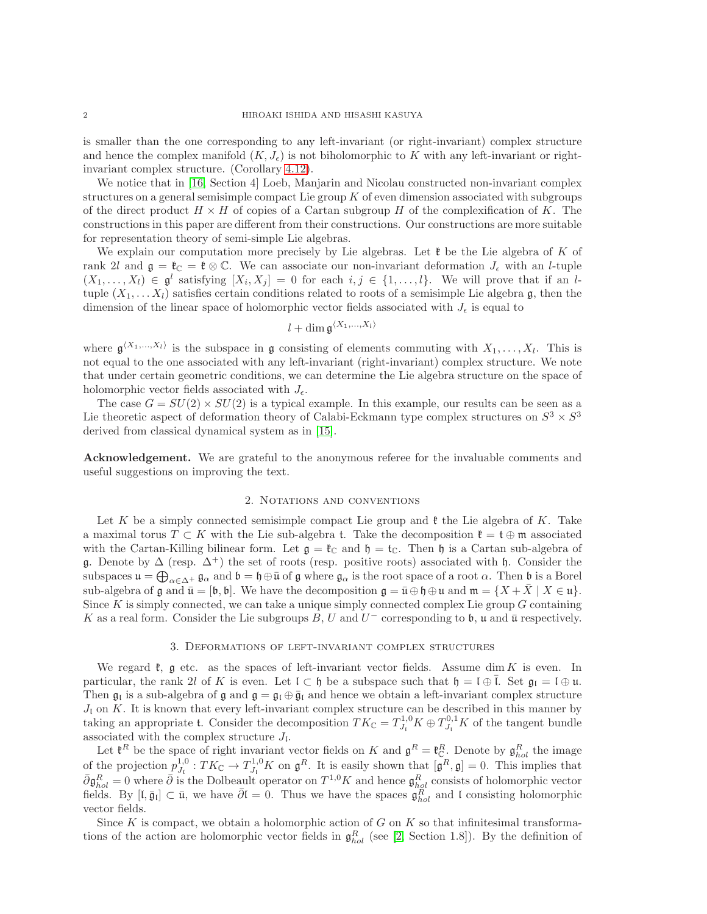is smaller than the one corresponding to any left-invariant (or right-invariant) complex structure and hence the complex manifold  $(K, J_{\epsilon})$  is not biholomorphic to K with any left-invariant or rightinvariant complex structure. (Corollary [4.12\)](#page-10-0).

We notice that in [\[16,](#page-11-7) Section 4] Loeb, Manjarin and Nicolau constructed non-invariant complex structures on a general semisimple compact Lie group  $K$  of even dimension associated with subgroups of the direct product  $H \times H$  of copies of a Cartan subgroup H of the complexification of K. The constructions in this paper are different from their constructions. Our constructions are more suitable for representation theory of semi-simple Lie algebras.

We explain our computation more precisely by Lie algebras. Let  $\mathfrak k$  be the Lie algebra of K of rank 2l and  $\mathfrak{g} = \mathfrak{k}_{\mathbb{C}} = \mathfrak{k} \otimes \mathbb{C}$ . We can associate our non-invariant deformation  $J_{\epsilon}$  with an l-tuple  $(X_1, \ldots, X_l) \in \mathfrak{g}^l$  satisfying  $[X_i, X_j] = 0$  for each  $i, j \in \{1, \ldots, l\}$ . We will prove that if an ltuple  $(X_1, \ldots, X_l)$  satisfies certain conditions related to roots of a semisimple Lie algebra g, then the dimension of the linear space of holomorphic vector fields associated with  $J_{\epsilon}$  is equal to

$$
l+\dim \mathfrak{g}^{\langle X_1,...,X_l\rangle}
$$

where  $\mathfrak{g}^{(X_1,\ldots,X_l)}$  is the subspace in g consisting of elements commuting with  $X_1,\ldots,X_l$ . This is not equal to the one associated with any left-invariant (right-invariant) complex structure. We note that under certain geometric conditions, we can determine the Lie algebra structure on the space of holomorphic vector fields associated with  $J_{\epsilon}$ .

The case  $G = SU(2) \times SU(2)$  is a typical example. In this example, our results can be seen as a Lie theoretic aspect of deformation theory of Calabi-Eckmann type complex structures on  $S^3 \times S^3$ derived from classical dynamical system as in [\[15\]](#page-11-8).

Acknowledgement. We are grateful to the anonymous referee for the invaluable comments and useful suggestions on improving the text.

#### 2. Notations and conventions

Let K be a simply connected semisimple compact Lie group and  $\mathfrak k$  the Lie algebra of K. Take a maximal torus  $T \subset K$  with the Lie sub-algebra t. Take the decomposition  $\mathfrak{k} = \mathfrak{t} \oplus \mathfrak{m}$  associated with the Cartan-Killing bilinear form. Let  $\mathfrak{g} = \mathfrak{k}_{\mathbb{C}}$  and  $\mathfrak{h} = \mathfrak{t}_{\mathbb{C}}$ . Then  $\mathfrak{h}$  is a Cartan sub-algebra of g. Denote by  $\Delta$  (resp.  $\Delta^+$ ) the set of roots (resp. positive roots) associated with h. Consider the subspaces  $\mathfrak{u} = \bigoplus_{\alpha \in \Delta^+} \mathfrak{g}_{\alpha}$  and  $\mathfrak{b} = \mathfrak{h} \oplus \bar{\mathfrak{u}}$  of  $\mathfrak{g}$  where  $\mathfrak{g}_{\alpha}$  is the root space of a root  $\alpha$ . Then  $\mathfrak{b}$  is a Borel sub-algebra of g and  $\bar{\mathfrak{u}} = [\mathfrak{b}, \mathfrak{b}]$ . We have the decomposition  $\mathfrak{g} = \bar{\mathfrak{u}} \oplus \mathfrak{h} \oplus \mathfrak{u}$  and  $\mathfrak{m} = \{X + \bar{X} \mid X \in \mathfrak{u}\}\.$ Since  $K$  is simply connected, we can take a unique simply connected complex Lie group  $G$  containing K as a real form. Consider the Lie subgroups  $B, U$  and  $U^-$  corresponding to b, u and  $\bar{u}$  respectively.

## 3. Deformations of left-invariant complex structures

We regard  $\mathfrak{k}$ , g etc. as the spaces of left-invariant vector fields. Assume dim K is even. In particular, the rank 2l of K is even. Let  $\mathfrak{l} \subset \mathfrak{h}$  be a subspace such that  $\mathfrak{h} = \mathfrak{l} \oplus \mathfrak{l}$ . Set  $\mathfrak{g}_{\mathfrak{l}} = \mathfrak{l} \oplus \mathfrak{u}$ . Then  $\mathfrak{g}_l$  is a sub-algebra of  $\mathfrak{g}$  and  $\mathfrak{g} = \mathfrak{g}_l \oplus \bar{\mathfrak{g}}_l$  and hence we obtain a left-invariant complex structure  $J_l$  on K. It is known that every left-invariant complex structure can be described in this manner by taking an appropriate t. Consider the decomposition  $TK_{\mathbb{C}} = T_{J_{\mathfrak{l}}}^{1,0} K \oplus T_{J_{\mathfrak{l}}}^{0,1} K$  of the tangent bundle associated with the complex structure  $J_{\mathfrak{l}}$ .

Let  $\mathfrak{k}^R$  be the space of right invariant vector fields on K and  $\mathfrak{g}^R = \mathfrak{k}^R_{\mathbb{C}}$ . Denote by  $\mathfrak{g}^R_{hol}$  the image of the projection  $p_{J_1}^{1,0}: TK_\mathbb{C} \to T_{J_1}^{1,0}K$  on  $\mathfrak{g}^R$ . It is easily shown that  $[\mathfrak{g}^R, \mathfrak{g}] = 0$ . This implies that  $\bar{\partial} \mathfrak{g}^R_{hol} = 0$  where  $\bar{\partial}$  is the Dolbeault operator on  $T^{1,0}K$  and hence  $\mathfrak{g}^R_{hol}$  consists of holomorphic vector fields. By  $[I, \bar{g}_I] \subset \bar{u}$ , we have  $\bar{\partial}I = 0$ . Thus we have the spaces  $\mathfrak{g}_{hol}^R$  and l consisting holomorphic vector fields.

Since K is compact, we obtain a holomorphic action of G on K so that infinitesimal transformations of the action are holomorphic vector fields in  $\mathfrak{g}_{hol}^R$  (see [\[2,](#page-11-1) Section 1.8]). By the definition of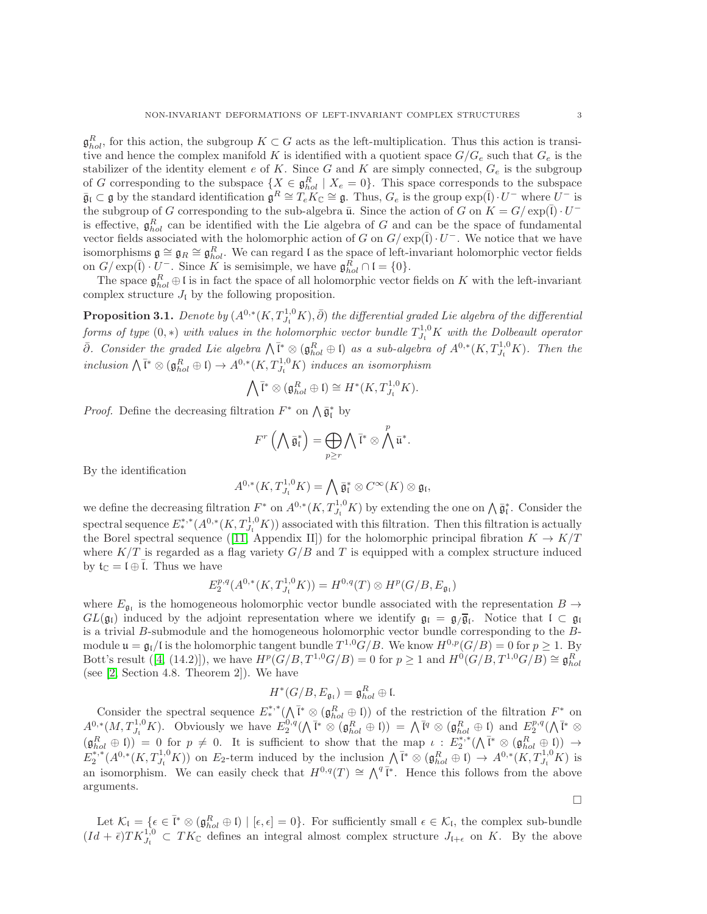$\mathfrak{g}_{hol}^R$ , for this action, the subgroup  $K \subset G$  acts as the left-multiplication. Thus this action is transitive and hence the complex manifold K is identified with a quotient space  $G/G_e$  such that  $G_e$  is the stabilizer of the identity element e of K. Since G and K are simply connected,  $G_e$  is the subgroup of G corresponding to the subspace  $\{X \in \mathfrak{g}_{hol}^R \mid X_e = 0\}$ . This space corresponds to the subspace  $\bar{\mathfrak{g}}_I \subset \mathfrak{g}$  by the standard identification  $\mathfrak{g}^R \cong T_e K_{\mathbb{C}} \cong \mathfrak{g}$ . Thus,  $G_e$  is the group  $\exp(\bar{\mathfrak{l}}) \cdot U^-$  where  $U^-$  is the subgroup of G corresponding to the sub-algebra  $\bar{u}$ . Since the action of G on  $K = G / \exp(\bar{l}) \cdot U^{-1}$ is effective,  $\mathfrak{g}_{hol}^R$  can be identified with the Lie algebra of G and can be the space of fundamental vector fields associated with the holomorphic action of G on  $G/\exp(\overline{I})\cdot U^-$ . We notice that we have isomorphisms  $\mathfrak{g} \cong \mathfrak{g}_R \cong \mathfrak{g}_{hol}^R$ . We can regard l as the space of left-invariant holomorphic vector fields on  $G/\exp(\overline{\mathfrak{l}})\cdot U^-$ . Since K is semisimple, we have  $\mathfrak{g}_{hol}^R\cap \mathfrak{l}=\{0\}.$ 

The space  $\mathfrak{g}_{hol}^R \oplus \mathfrak{l}$  is in fact the space of all holomorphic vector fields on K with the left-invariant complex structure  $J_{\rm I}$  by the following proposition.

<span id="page-2-0"></span>**Proposition 3.1.** Denote by  $(A^{0,*}(K,T^{1,0}_{J_1}K),\bar{\partial})$  the differential graded Lie algebra of the differential forms of type  $(0,*)$  with values in the holomorphic vector bundle  $T_{J_1}^{1,0}K$  with the Dolbeault operator  $\bar{\partial}$ . Consider the graded Lie algebra  $\bigwedge \overline{\mathfrak{l}}^* \otimes (\mathfrak{g}^R_{hol} \oplus \mathfrak{l})$  as a sub-algebra of  $A^{0,*}(K,T^{1,0}_{J_1}K)$ . Then the inclusion  $\bigwedge \overline{\mathfrak{l}}^* \otimes (\mathfrak{g}_{hol}^R \oplus \mathfrak{l}) \to A^{0,*}(K, T^{1,0}_{J_1}K)$  induces an isomorphism

$$
\bigwedge \overline{\mathfrak{l}}^* \otimes (\mathfrak{g}^R_{hol} \oplus \mathfrak{l}) \cong H^*(K, T^{1,0}_{J_{\mathfrak{l}}} K).
$$

*Proof.* Define the decreasing filtration  $F^*$  on  $\bigwedge \overline{\mathfrak{g}}^*_1$  by

$$
F^r\left(\bigwedge \bar{\mathfrak{g}}_{{\mathfrak{l}}}^*\right) = \bigoplus_{p \geq r} \bigwedge \bar{{\mathfrak{l}}}^* \otimes \bigwedge^p \bar{{\mathfrak{u}}}^*.
$$

By the identification

$$
A^{0,*}(K,T^{1,0}_{J_1}K)=\bigwedge \bar{\mathfrak{g}}_{\mathfrak{l}}^*\otimes C^\infty(K)\otimes \mathfrak{g}_{\mathfrak{l}},
$$

we define the decreasing filtration  $F^*$  on  $A^{0,*}(K,T^{1,0}_{J_1}K)$  by extending the one on  $\bigwedge \overline{\mathfrak{g}}^*_1$ . Consider the spectral sequence  $E^{*,*}_*(A^{0,*}(K,T^{1,0}_{J_1}K))$  associated with this filtration. Then this filtration is actually the Borel spectral sequence ([\[11,](#page-11-9) Appendix II]) for the holomorphic principal fibration  $K \to K/T$ where  $K/T$  is regarded as a flag variety  $G/B$  and T is equipped with a complex structure induced by  $\mathfrak{t}_{\mathbb{C}} = \mathfrak{l} \oplus \overline{\mathfrak{l}}$ . Thus we have

$$
E_2^{p,q}(A^{0,*}(K,T_{J_1}^{1,0}K)) = H^{0,q}(T) \otimes H^p(G/B, E_{\mathfrak{g}_1})
$$

where  $E_{\mathfrak{g}_I}$  is the homogeneous holomorphic vector bundle associated with the representation  $B \to \infty$  $GL(\mathfrak{g}_{\mathfrak{l}})$  induced by the adjoint representation where we identify  $\mathfrak{g}_{\mathfrak{l}} = \mathfrak{g}_{/\overline{\mathfrak{g}}_{\mathfrak{l}}}$ . Notice that  $\mathfrak{l} \subset \mathfrak{g}_{\mathfrak{l}}$ is a trivial B-submodule and the homogeneous holomorphic vector bundle corresponding to the Bmodule  $\mathfrak{u} = \mathfrak{g}_{\mathfrak{l}}/I$  is the holomorphic tangent bundle  $T^{1,0}G/B$ . We know  $H^{0,p}(G/B) = 0$  for  $p \geq 1$ . By Bott's result  $([4, (14.2)])$  $([4, (14.2)])$  $([4, (14.2)])$ , we have  $H^p(G/B, T^{1,0}G/B) = 0$  for  $p \ge 1$  and  $H^0(G/B, T^{1,0}G/B) \cong \mathfrak{g}_{hol}^R$ (see [\[2,](#page-11-1) Section 4.8. Theorem 2]). We have

$$
H^*(G/B, E_{\mathfrak{g}_\mathfrak{l}}) = \mathfrak{g}_{hol}^R \oplus \mathfrak{l}.
$$

Consider the spectral sequence  $E^{*,*}_{*}(\Lambda^{\bar{I}^*} \otimes (\mathfrak{g}^R_{hol} \oplus \mathfrak{l}))$  of the restriction of the filtration  $F^*$  on  $A^{0,*}(M,T_{J_1}^{1,0}K)$ . Obviously we have  $E^{0,q}_2(\Lambda^{\bar{\mathfrak{f}}*}\otimes (\mathfrak{g}_{hol}^R\oplus \mathfrak{l})) = \Lambda^{\bar{\mathfrak{l}}q}\otimes (\mathfrak{g}_{hol}^R\oplus \mathfrak{l})$  and  $E^{p,q}_2(\Lambda^{\bar{\mathfrak{l}}*}\otimes \mathfrak{l})$  $(\mathfrak{g}_{hol}^R \oplus \mathfrak{l}) = 0$  for  $p \neq 0$ . It is sufficient to show that the map  $\iota : E_2^{*,*}(\Lambda^{\bar{l}^*} \otimes (\mathfrak{g}_{hol}^R \oplus \mathfrak{l})) \rightarrow$  $E_2^{*,*}(A^{0,*}(K,T_{J_1}^{1,0}K))$  on  $E_2$ -term induced by the inclusion  $\bigwedge \overline{\mathfrak{l}}^* \otimes (\mathfrak{g}_{hol}^R \oplus \mathfrak{l}) \to A^{0,*}(K,T_{J_1}^{1,0}K)$  is an isomorphism. We can easily check that  $H^{0,q}(T) \cong \bigwedge^q \bar{\mathfrak{l}}^*$ . Hence this follows from the above arguments.

Let  $\mathcal{K}_{\mathfrak{l}} = \{ \epsilon \in \bar{\mathfrak{l}}^* \otimes (\mathfrak{g}_{hol}^R \oplus \mathfrak{l}) \mid [\epsilon, \epsilon] = 0 \}.$  For sufficiently small  $\epsilon \in \mathcal{K}_{\mathfrak{l}}$ , the complex sub-bundle  $(Id + \bar{\epsilon})TK_{J_1}^{1,0} \subset TK_{\mathbb{C}}$  defines an integral almost complex structure  $J_{I+\epsilon}$  on K. By the above

 $\Box$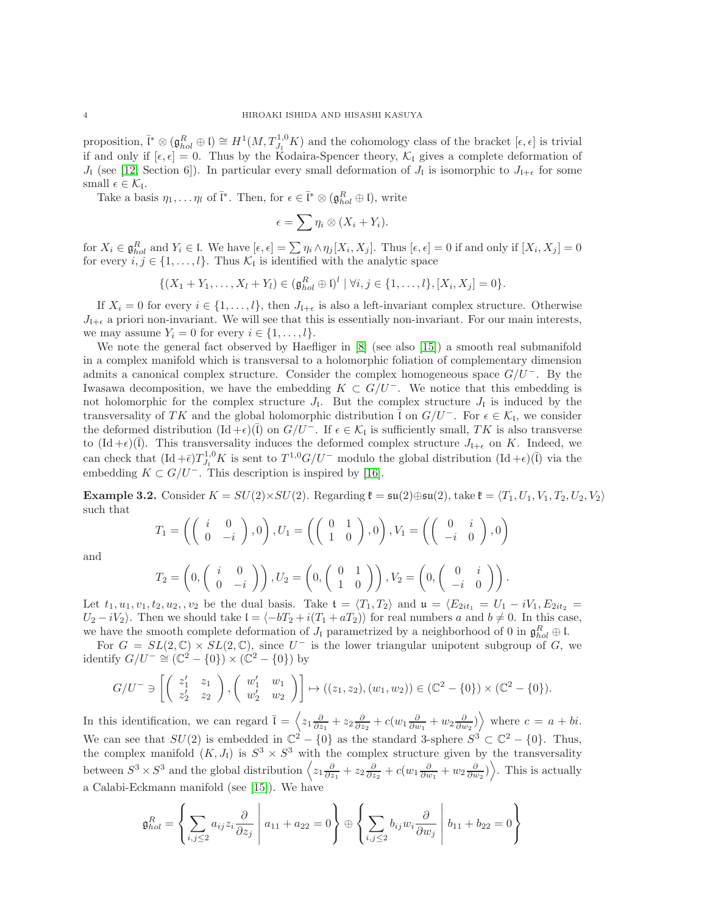proposition,  $\bar{l}^* \otimes (\mathfrak{g}_{hol}^R \oplus \mathfrak{l}) \cong H^1(M, T_{J_{\mathfrak{l}}}^{1,0} K)$  and the cohomology class of the bracket  $[\epsilon, \epsilon]$  is trivial if and only if  $[\epsilon, \epsilon] = 0$ . Thus by the Kodaira-Spencer theory,  $\mathcal{K}_{\mathfrak{l}}$  gives a complete deformation of  $J_{\rm I}$  (see [\[12,](#page-11-10) Section 6]). In particular every small deformation of  $J_{\rm I}$  is isomorphic to  $J_{\rm I+\epsilon}$  for some small  $\epsilon \in \mathcal{K}_{\mathfrak{l}}$ .

Take a basis  $\eta_1, \ldots \eta_l$  of  $\bar{l}^*$ . Then, for  $\epsilon \in \bar{l}^* \otimes (\mathfrak{g}_{hol}^R \oplus \mathfrak{l})$ , write

$$
\epsilon = \sum \eta_i \otimes (X_i + Y_i).
$$

for  $X_i \in \mathfrak{g}_{hol}^R$  and  $Y_i \in \mathfrak{l}$ . We have  $[\epsilon, \epsilon] = \sum \eta_i \wedge \eta_j [X_i, X_j]$ . Thus  $[\epsilon, \epsilon] = 0$  if and only if  $[X_i, X_j] = 0$ for every  $i, j \in \{1, ..., l\}$ . Thus  $\mathcal{K}_l$  is identified with the analytic space

$$
\{(X_1 + Y_1, \ldots, X_l + Y_l) \in (\mathfrak{g}^R_{hol} \oplus \mathfrak{l})^l \mid \forall i, j \in \{1, \ldots, l\}, [X_i, X_j] = 0\}.
$$

If  $X_i = 0$  for every  $i \in \{1, \ldots, l\}$ , then  $J_{l+\epsilon}$  is also a left-invariant complex structure. Otherwise  $J_{\ell+\epsilon}$  a priori non-invariant. We will see that this is essentially non-invariant. For our main interests, we may assume  $Y_i = 0$  for every  $i \in \{1, \ldots, l\}.$ 

We note the general fact observed by Haefliger in [\[8\]](#page-11-11) (see also [\[15\]](#page-11-8)) a smooth real submanifold in a complex manifold which is transversal to a holomorphic foliation of complementary dimension admits a canonical complex structure. Consider the complex homogeneous space  $G/U^-$ . By the Iwasawa decomposition, we have the embedding  $K \subset G/U^-$ . We notice that this embedding is not holomorphic for the complex structure  $J_I$ . But the complex structure  $J_I$  is induced by the transversality of TK and the global holomorphic distribution  $\overline{\overline{I}}$  on  $G/U^-$ . For  $\epsilon \in \mathcal{K}_{\mathfrak{l}}$ , we consider the deformed distribution  $(\text{Id} + \epsilon)(\overline{\mathfrak{l}})$  on  $G/U^-$ . If  $\epsilon \in \mathcal{K}_{\mathfrak{l}}$  is sufficiently small, TK is also transverse to  $(\mathrm{Id} + \epsilon)(\overline{I})$ . This transversality induces the deformed complex structure  $J_{\xi+\epsilon}$  on K. Indeed, we can check that  $(\mathrm{Id} + \bar{\epsilon}) T_{J_{\mathfrak{l}}}^{1,0} K$  is sent to  $T^{1,0} G/U^-$  modulo the global distribution  $(\mathrm{Id} + \epsilon)(\bar{\mathfrak{l}})$  via the embedding  $K \subset G/U^-$ . This description is inspired by [\[16\]](#page-11-7).

<span id="page-3-0"></span>Example 3.2. Consider  $K = SU(2) \times SU(2)$ . Regarding  $\mathfrak{k} = \mathfrak{su}(2) \oplus \mathfrak{su}(2)$ , take  $\mathfrak{k} = \langle T_1, U_1, V_1, T_2, U_2, V_2 \rangle$ such that

$$
T_1 = \left( \left( \begin{array}{cc} i & 0 \\ 0 & -i \end{array} \right), 0 \right), U_1 = \left( \left( \begin{array}{cc} 0 & 1 \\ 1 & 0 \end{array} \right), 0 \right), V_1 = \left( \left( \begin{array}{cc} 0 & i \\ -i & 0 \end{array} \right), 0 \right)
$$

and

$$
T_2 = \left(0, \begin{pmatrix} i & 0 \\ 0 & -i \end{pmatrix}\right), U_2 = \left(0, \begin{pmatrix} 0 & 1 \\ 1 & 0 \end{pmatrix}\right), V_2 = \left(0, \begin{pmatrix} 0 & i \\ -i & 0 \end{pmatrix}\right).
$$

Let  $t_1, u_1, v_1, t_2, u_2, v_2$  be the dual basis. Take  $t = \langle T_1, T_2 \rangle$  and  $u = \langle E_{2it_1} = U_1 - iV_1, E_{2it_2} =$  $U_2 - iV_2$ . Then we should take  $\mathfrak{l} = \langle -bT_2 + i(T_1 + aT_2) \rangle$  for real numbers a and  $b \neq 0$ . In this case, we have the smooth complete deformation of  $J_1$  parametrized by a neighborhood of 0 in  $\mathfrak{g}_{hol}^R \oplus \mathfrak{l}$ .

For  $G = SL(2, \mathbb{C}) \times SL(2, \mathbb{C})$ , since  $U^-$  is the lower triangular unipotent subgroup of G, we identify  $G/U^- \cong (\mathbb{C}^2 - \{0\}) \times (\mathbb{C}^2 - \{0\})$  by

$$
G/U^{-} \ni \left[ \begin{pmatrix} z'_1 & z_1 \\ z'_2 & z_2 \end{pmatrix}, \begin{pmatrix} w'_1 & w_1 \\ w'_2 & w_2 \end{pmatrix} \right] \mapsto ((z_1, z_2), (w_1, w_2)) \in (\mathbb{C}^2 - \{0\}) \times (\mathbb{C}^2 - \{0\}).
$$

In this identification, we can regard  $\bar{l} = \left\langle z_1 \frac{\partial}{\partial z_1} + z_2 \frac{\partial}{\partial z_2} + c(w_1 \frac{\partial}{\partial w_1} + w_2 \frac{\partial}{\partial w_2}) \right\rangle$  where  $c = a + bi$ . We can see that  $SU(2)$  is embedded in  $\mathbb{C}^2 - \{0\}$  as the standard 3-sphere  $S^3 \subset \mathbb{C}^2 - \{0\}$ . Thus, the complex manifold  $(K, J_1)$  is  $S^3 \times S^3$  with the complex structure given by the transversality between  $S^3 \times S^3$  and the global distribution  $\left\langle z_1 \frac{\partial}{\partial z_1} + z_2 \frac{\partial}{\partial z_2} + c(w_1 \frac{\partial}{\partial w_1} + w_2 \frac{\partial}{\partial w_2}) \right\rangle$ . This is actually a Calabi-Eckmann manifold (see [\[15\]](#page-11-8)). We have

$$
\mathfrak{g}_{hol}^R = \left\{ \sum_{i,j \leq 2} a_{ij} z_i \frac{\partial}{\partial z_j} \middle| a_{11} + a_{22} = 0 \right\} \oplus \left\{ \sum_{i,j \leq 2} b_{ij} w_i \frac{\partial}{\partial w_j} \middle| b_{11} + b_{22} = 0 \right\}
$$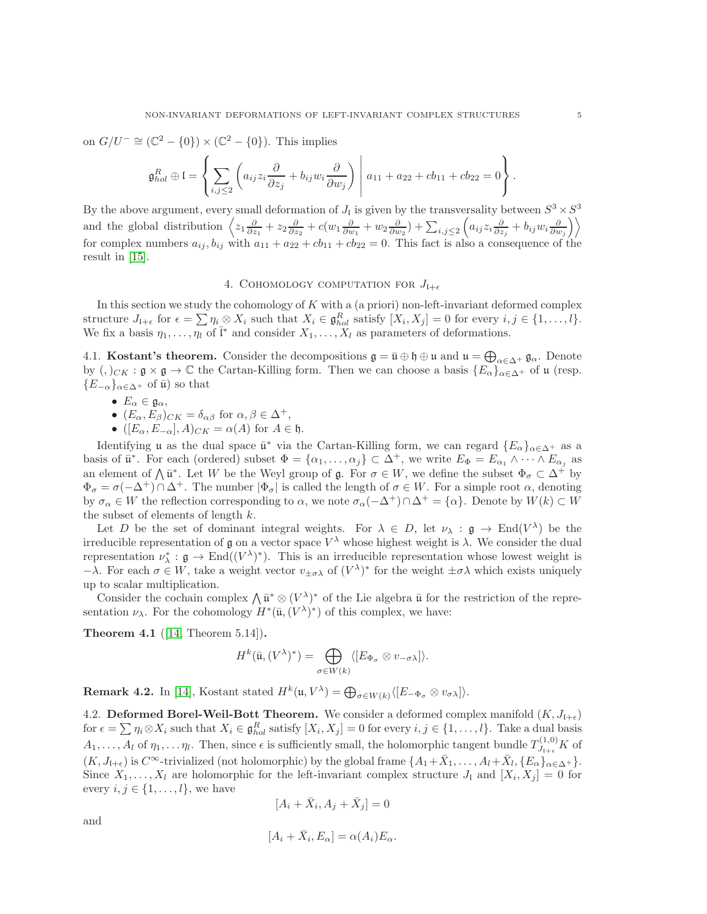on  $G/U^- \cong (\mathbb{C}^2 - \{0\}) \times (\mathbb{C}^2 - \{0\})$ . This implies

$$
\mathfrak{g}_{hol}^R \oplus \mathfrak{l} = \left\{ \sum_{i,j \leq 2} \left( a_{ij} z_i \frac{\partial}{\partial z_j} + b_{ij} w_i \frac{\partial}{\partial w_j} \right) \middle| a_{11} + a_{22} + cb_{11} + cb_{22} = 0 \right\}.
$$

By the above argument, every small deformation of  $J_{\mathfrak{l}}$  is given by the transversality between  $S^3 \times S^3$ and the global distribution  $\left\langle z_1 \frac{\partial}{\partial z_1} + z_2 \frac{\partial}{\partial z_2} + c(w_1 \frac{\partial}{\partial w_1} + w_2 \frac{\partial}{\partial w_2}) + \sum_{i,j \leq 2} \left( a_{ij} z_i \frac{\partial}{\partial z_j} + b_{ij} w_i \frac{\partial}{\partial w_j} \right) \right\rangle$ for complex numbers  $a_{ij}$ ,  $b_{ij}$  with  $a_{11} + a_{22} + c_{11} + c_{22} = 0$ . This fact is also a consequence of the result in [\[15\]](#page-11-8).

## 4. COHOMOLOGY COMPUTATION FOR  $J_{\ell+\epsilon}$

In this section we study the cohomology of  $K$  with a (a priori) non-left-invariant deformed complex structure  $J_{l+\epsilon}$  for  $\epsilon = \sum_{i} \eta_i \otimes X_i$  such that  $X_i \in \mathfrak{g}_{hol}^R$  satisfy  $[X_i, X_j] = 0$  for every  $i, j \in \{1, ..., l\}$ . We fix a basis  $\eta_1, \ldots, \eta_l$  of  $\bar{\mathfrak{l}}^*$  and consider  $X_1, \ldots, X_l$  as parameters of deformations.

4.1. **Kostant's theorem.** Consider the decompositions  $\mathfrak{g} = \bar{\mathfrak{u}} \oplus \mathfrak{h} \oplus \mathfrak{u}$  and  $\mathfrak{u} = \bigoplus_{\alpha \in \Delta^+} \mathfrak{g}_{\alpha}$ . Denote by  $(,)_C$ <sub>K</sub> :  $\mathfrak{g} \times \mathfrak{g} \to \mathbb{C}$  the Cartan-Killing form. Then we can choose a basis  $\{E_\alpha\}_{\alpha \in \Delta^+}$  of u (resp.  ${E_{-\alpha}}_{\alpha \in \Delta^+}$  of  $\bar{\mu}$  so that

- $E_{\alpha} \in \mathfrak{g}_{\alpha},$
- $(E_{\alpha}, E_{\beta})_{CK} = \delta_{\alpha\beta}$  for  $\alpha, \beta \in \Delta^{+}$ ,
- $([E_{\alpha}, E_{-\alpha}], A)_{CK} = \alpha(A)$  for  $A \in \mathfrak{h}$ .

Identifying u as the dual space  $\bar{\mathfrak{u}}^*$  via the Cartan-Killing form, we can regard  $\{E_\alpha\}_{\alpha\in\Delta^+}$  as a basis of  $\bar{\mathfrak{u}}^*$ . For each (ordered) subset  $\Phi = {\alpha_1, \ldots, \alpha_j} \subset \Delta^+$ , we write  $E_{\Phi} = E_{\alpha_1} \wedge \cdots \wedge E_{\alpha_j}$  as an element of  $\Lambda \bar{u}^*$ . Let W be the Weyl group of g. For  $\sigma \in W$ , we define the subset  $\Phi_{\sigma} \subset \Delta^+$  by  $\Phi_{\sigma} = \sigma(-\Delta^+) \cap \Delta^+$ . The number  $|\Phi_{\sigma}|$  is called the length of  $\sigma \in W$ . For a simple root  $\alpha$ , denoting by  $\sigma_{\alpha} \in W$  the reflection corresponding to  $\alpha$ , we note  $\sigma_{\alpha}(-\Delta^+) \cap \Delta^+ = {\alpha}$ . Denote by  $W(k) \subset W$ the subset of elements of length  $k$ .

Let D be the set of dominant integral weights. For  $\lambda \in D$ , let  $\nu_{\lambda} : \mathfrak{g} \to \text{End}(V^{\lambda})$  be the irreducible representation of g on a vector space  $V^{\lambda}$  whose highest weight is  $\lambda$ . We consider the dual representation  $\nu_{\lambda}^* : \mathfrak{g} \to \text{End}((V^{\lambda})^*)$ . This is an irreducible representation whose lowest weight is  $-\lambda$ . For each  $\sigma \in W$ , take a weight vector  $v_{\pm \sigma \lambda}$  of  $(V^{\lambda})^*$  for the weight  $\pm \sigma \lambda$  which exists uniquely up to scalar multiplication.

Consider the cochain complex  $\bigwedge \overline{\mathfrak{u}}^* \otimes (V^{\lambda})^*$  of the Lie algebra  $\overline{\mathfrak{u}}$  for the restriction of the representation  $\nu_{\lambda}$ . For the cohomology  $H^*(\bar{\mathfrak{u}},(V^{\lambda})^*)$  of this complex, we have:

<span id="page-4-0"></span>Theorem 4.1 ([\[14,](#page-11-12) Theorem 5.14]).

$$
H^k(\bar{\mathfrak{u}}, (V^{\lambda})^*) = \bigoplus_{\sigma \in W(k)} \langle [E_{\Phi_{\sigma}} \otimes v_{-\sigma\lambda}] \rangle.
$$

**Remark 4.2.** In [\[14\]](#page-11-12), Kostant stated  $H^k(\mathfrak{u}, V^{\lambda}) = \bigoplus_{\sigma \in W(k)} \langle [E_{-\Phi_{\sigma}} \otimes v_{\sigma \lambda}] \rangle$ .

4.2. Deformed Borel-Weil-Bott Theorem. We consider a deformed complex manifold  $(K, J_{\mathfrak{l}+\epsilon})$ for  $\epsilon = \sum \eta_i \otimes X_i$  such that  $X_i \in \mathfrak{g}_{hol}^R$  satisfy  $[X_i, X_j] = 0$  for every  $i, j \in \{1, ..., l\}$ . Take a dual basis  $A_1,\ldots,A_l$  of  $\eta_1,\ldots\eta_l$ . Then, since  $\epsilon$  is sufficiently small, the holomorphic tangent bundle  $T^{(1,0)}_{J_{1+\epsilon}}K$  of  $(K, J_{l+\epsilon})$  is  $C^{\infty}$ -trivialized (not holomorphic) by the global frame  $\{A_1+\bar{X}_1, \ldots, A_l+\bar{X}_l, \{E_{\alpha}\}_{\alpha \in \Delta^+}\}.$ Since  $X_1, \ldots, X_l$  are holomorphic for the left-invariant complex structure  $J_i$  and  $[X_i, X_j] = 0$  for every  $i, j \in \{1, \ldots, l\}$ , we have

$$
[A_i + \bar{X}_i, A_j + \bar{X}_j] = 0
$$

and

$$
[A_i + \bar{X}_i, E_\alpha] = \alpha(A_i) E_\alpha.
$$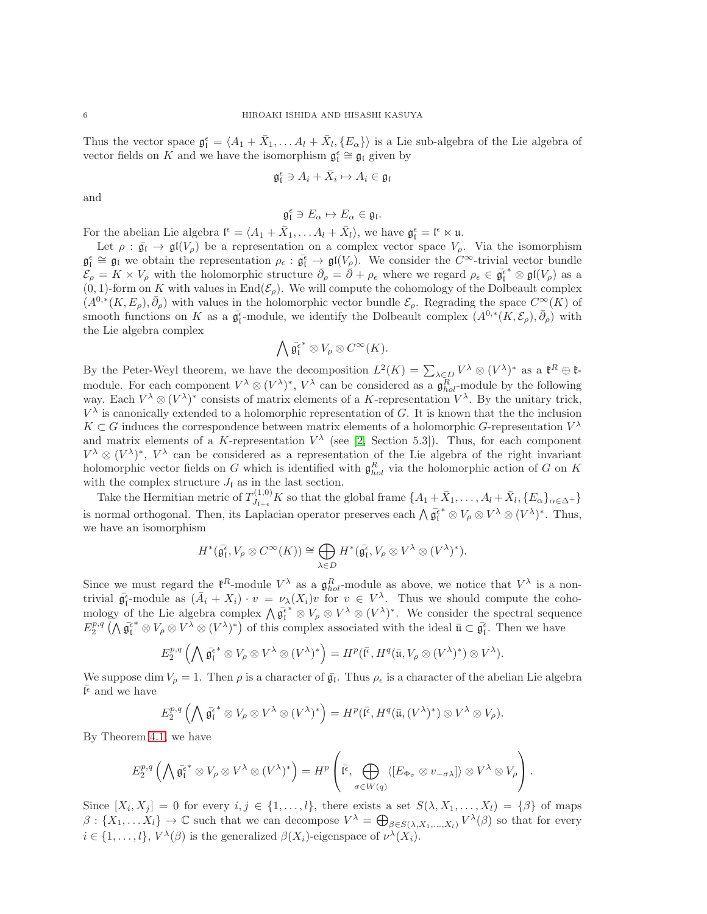Thus the vector space  $\mathfrak{g}_{\mathfrak{l}}^{\epsilon} = \langle A_1 + \bar{X}_1, \ldots A_l + \bar{X}_l, \{E_{\alpha}\}\rangle$  is a Lie sub-algebra of the Lie algebra of vector fields on K and we have the isomorphism  $\mathfrak{g}^{\epsilon}_{\mathfrak{l}} \cong \mathfrak{g}_{\mathfrak{l}}$  given by

$$
\mathfrak{g}^{\epsilon}_\mathfrak{l}\ni A_i+\bar{X}_i\mapsto A_i\in\mathfrak{g}_\mathfrak{l}
$$

and

$$
\mathfrak{g}_{\mathfrak{l}}^{\epsilon}\ni E_{\alpha}\mapsto E_{\alpha}\in\mathfrak{g}_{\mathfrak{l}}.
$$

For the abelian Lie algebra  $\mathfrak{l}^{\epsilon} = \langle A_1 + \bar{X}_1, \dots A_l + \bar{X}_l \rangle$ , we have  $\mathfrak{g}^{\epsilon}_l = \mathfrak{l}^{\epsilon} \ltimes \mathfrak{u}$ .

Let  $\rho : \bar{\mathfrak{g}}_{\mathfrak{l}} \to \mathfrak{gl}(V_{\rho})$  be a representation on a complex vector space  $V_{\rho}$ . Via the isomorphism  $\mathfrak{g}_{\mathfrak{l}}^{\epsilon} \cong \mathfrak{g}_{\mathfrak{l}}$  we obtain the representation  $\rho_{\epsilon} : \bar{\mathfrak{g}}_{\mathfrak{l}}^{\epsilon} \to \mathfrak{gl}(V_{\rho}).$  We consider the  $C^{\infty}$ -trivial vector bundle  $\mathcal{E}_{\rho} = K \times V_{\rho}$  with the holomorphic structure  $\bar{\partial}_{\rho} = \bar{\partial} + \rho_{\epsilon}$  where we regard  $\rho_{\epsilon} \in \bar{\mathfrak{g}}_{\mathfrak{l}}^{\epsilon^*} \otimes \mathfrak{gl}(V_{\rho})$  as a  $(0, 1)$ -form on K with values in End $(\mathcal{E}_{\rho})$ . We will compute the cohomology of the Dolbeault complex  $(A^{0,*}(K, E_\rho), \bar{\partial}_\rho)$  with values in the holomorphic vector bundle  $\mathcal{E}_\rho$ . Regrading the space  $C^{\infty}(K)$  of smooth functions on K as a  $\bar{\mathfrak{g}}_{{\mathfrak{l}}}^{\epsilon}$ -module, we identify the Dolbeault complex  $(A^{0,*}(K,{\mathcal{E}}_{\rho}),\bar{\partial}_{\rho})$  with the Lie algebra complex

$$
\bigwedge \bar{\mathfrak{g}_{\mathfrak{l}}^{\epsilon}}^* \otimes V_{\rho} \otimes C^{\infty}(K).
$$

By the Peter-Weyl theorem, we have the decomposition  $L^2(K) = \sum_{\lambda \in D} V^{\lambda} \otimes (V^{\lambda})^*$  as a  $\mathfrak{k}^R \oplus \mathfrak{k}$ module. For each component  $V^{\lambda} \otimes (V^{\lambda})^*$ ,  $V^{\lambda}$  can be considered as a  $\mathfrak{g}_{hol}^R$ -module by the following way. Each  $V^{\lambda} \otimes (V^{\lambda})^*$  consists of matrix elements of a K-representation  $V^{\lambda}$ . By the unitary trick,  $V^{\lambda}$  is canonically extended to a holomorphic representation of G. It is known that the the inclusion  $K \subset G$  induces the correspondence between matrix elements of a holomorphic G-representation  $V^{\lambda}$ and matrix elements of a K-representation  $V^{\lambda}$  (see [\[2,](#page-11-1) Section 5.3]). Thus, for each component  $V^{\lambda} \otimes (V^{\lambda})^*$ ,  $V^{\lambda}$  can be considered as a representation of the Lie algebra of the right invariant holomorphic vector fields on G which is identified with  $\mathfrak{g}_{hol}^R$  via the holomorphic action of G on K with the complex structure  $J_{\mathfrak{l}}$  as in the last section.

Take the Hermitian metric of  $T^{(1,0)}_{J_{1+\epsilon}} K$  so that the global frame  $\{A_1 + \bar{X}_1, \ldots, A_l + \bar{X}_l, \{E_\alpha\}_{\alpha \in \Delta^+}\}$ is normal orthogonal. Then, its Laplacian operator preserves each  $\bigwedge \overline{\mathfrak{g}}_{\mathfrak{l}}^{\overline{\mathfrak{e}}^*} \otimes V_{\rho} \otimes V^{\lambda} \otimes (V^{\lambda})^*$ . Thus, we have an isomorphism

$$
H^*(\bar{\mathfrak{g}}_{{\mathfrak{l}}}^{\epsilon}, V_{\rho} \otimes C^{\infty}(K)) \cong \bigoplus_{\lambda \in D} H^*(\bar{\mathfrak{g}}_{{\mathfrak{l}}}^{\epsilon}, V_{\rho} \otimes V^{\lambda} \otimes (V^{\lambda})^*).
$$

Since we must regard the  $\mathfrak{k}^R$ -module  $V^{\lambda}$  as a  $\mathfrak{g}^R_{hol}$ -module as above, we notice that  $V^{\lambda}$  is a nontrivial  $\bar{\mathfrak{g}}_{\mathfrak{l}}^{\epsilon}$ -module as  $(\bar{A}_i + X_i) \cdot v = \nu_{\lambda}(X_i)v$  for  $v \in V^{\lambda}$ . Thus we should compute the cohowhat  $\mathfrak{g}_l$ -module as  $(A_i + A_i) \cdot b = \nu_A(A_i) b$  for  $b \in V$ . Thus we should complete the cono-<br>mology of the Lie algebra complex  $\bigwedge \overline{\mathfrak{g}}_l^* \otimes V_\rho \otimes V^\lambda \otimes (V^\lambda)^*$ . We consider the spectral sequence  $E_2^{p,q}(\Lambda \bar{\mathfrak{g}}_l^{\epsilon*} \otimes V_\rho \otimes V^{\bar{\lambda}} \otimes (V^{\lambda})^*)$  of this complex associated with the ideal  $\bar{\mathfrak{u}} \subset \bar{\mathfrak{g}}_l^{\epsilon}$ . Then we have

$$
E_2^{p,q}\left(\bigwedge \bar{\mathfrak{g}_1^{\epsilon}}^* \otimes V_{\rho} \otimes V^{\lambda} \otimes (V^{\lambda})^*\right) = H^p(\bar{\mathfrak{l}^{\epsilon}}, H^q(\bar{\mathfrak{u}}, V_{\rho} \otimes (V^{\lambda})^*) \otimes V^{\lambda}).
$$

We suppose dim  $V_\rho = 1$ . Then  $\rho$  is a character of  $\bar{\mathfrak{g}}_l$ . Thus  $\rho_\epsilon$  is a character of the abelian Lie algebra  $\bar{\mathfrak{l}^{\epsilon}}$  and we have

$$
E_2^{p,q}\left(\bigwedge \bar{\mathfrak{g}_1^{\epsilon}}^* \otimes V_{\rho} \otimes V^{\lambda} \otimes (V^{\lambda})^*\right) = H^p(\bar{\mathfrak{l}^{\epsilon}}, H^q(\bar{\mathfrak{u}}, (V^{\lambda})^*) \otimes V^{\lambda} \otimes V_{\rho}).
$$

By Theorem [4.1,](#page-4-0) we have

$$
E_2^{p,q}\left(\bigwedge \bar{\mathfrak{g}_1^{\epsilon}}^* \otimes V_{\rho} \otimes V^{\lambda} \otimes (V^{\lambda})^*\right) = H^p\left(\bar{\mathfrak{l}^{\epsilon}}, \bigoplus_{\sigma \in W(q)} \langle [E_{\Phi_{\sigma}} \otimes v_{-\sigma\lambda}]\rangle \otimes V^{\lambda} \otimes V_{\rho}\right).
$$

Since  $[X_i, X_j] = 0$  for every  $i, j \in \{1, \ldots, l\}$ , there exists a set  $S(\lambda, X_1, \ldots, X_l) = \{\beta\}$  of maps  $\beta: \{X_1, \ldots X_l\} \to \mathbb{C}$  such that we can decompose  $V^{\lambda} = \bigoplus_{\beta \in S(\lambda, X_1, \ldots, X_l)} V^{\lambda}(\beta)$  so that for every  $i \in \{1, ..., l\}, V^{\lambda}(\beta)$  is the generalized  $\beta(X_i)$ -eigenspace of  $\nu^{\lambda}(X_i)$ .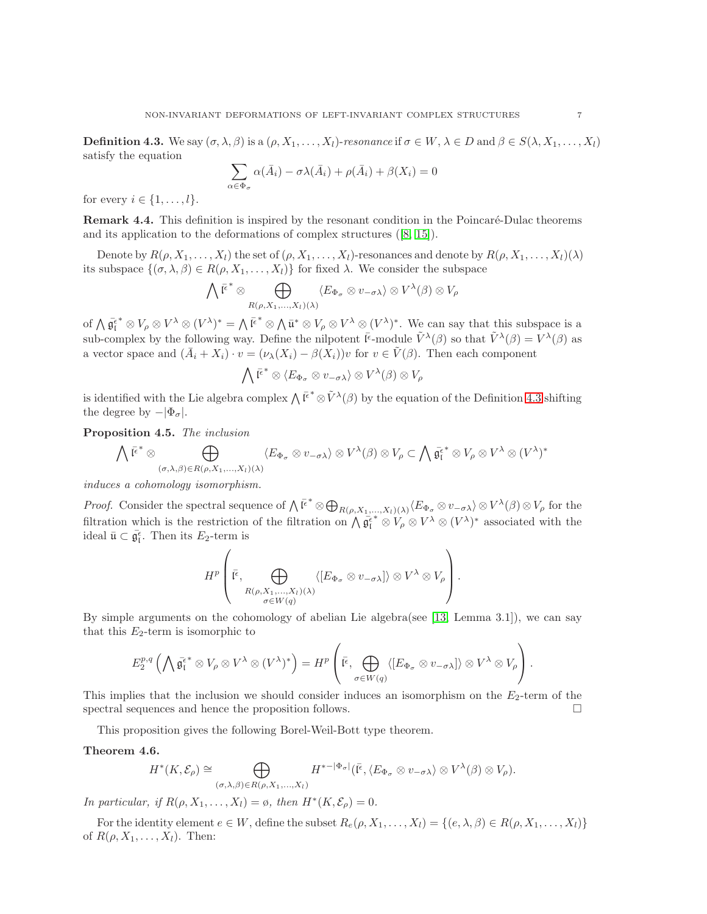<span id="page-6-1"></span>**Definition 4.3.** We say  $(\sigma, \lambda, \beta)$  is a  $(\rho, X_1, \ldots, X_l)$ -resonance if  $\sigma \in W, \lambda \in D$  and  $\beta \in S(\lambda, X_1, \ldots, X_l)$ satisfy the equation

$$
\sum_{\alpha \in \Phi_{\sigma}} \alpha(\bar{A}_i) - \sigma \lambda(\bar{A}_i) + \rho(\bar{A}_i) + \beta(X_i) = 0
$$

for every  $i \in \{1, \ldots, l\}$ .

**Remark 4.4.** This definition is inspired by the resonant condition in the Poincaré-Dulac theorems and its application to the deformations of complex structures ([\[8,](#page-11-11) [15\]](#page-11-8)).

Denote by  $R(\rho, X_1, \ldots, X_l)$  the set of  $(\rho, X_1, \ldots, X_l)$ -resonances and denote by  $R(\rho, X_1, \ldots, X_l)(\lambda)$ its subspace  $\{(\sigma, \lambda, \beta) \in R(\rho, X_1, \ldots, X_l)\}\$ for fixed  $\lambda$ . We consider the subspace

$$
\bigwedge \bar{\mathfrak{l}^{\epsilon}}^* \otimes \bigoplus_{R(\rho,X_1,...,X_l)(\lambda)} \langle E_{\Phi_{\sigma}} \otimes v_{-\sigma\lambda} \rangle \otimes V^{\lambda}(\beta) \otimes V_{\rho}
$$

of  $\bigwedge \overline{\mathfrak{g}}_{{\mathfrak{l}}}^{\epsilon^*} \otimes V_{\rho} \otimes V^{\lambda} \otimes (V^{\lambda})^* = \bigwedge \overline{\mathfrak{l}}^{\epsilon^*} \otimes \bigwedge \overline{\mathfrak{u}}^* \otimes V_{\rho} \otimes V^{\lambda} \otimes (V^{\lambda})^*$ . We can say that this subspace is a sub-complex by the following way. Define the nilpotent  $\bar{\mathfrak{l}}^{\epsilon}$ -module  $\tilde{V}^{\lambda}(\beta)$  so that  $\tilde{V}^{\lambda}(\beta) = V^{\lambda}(\beta)$  as a vector space and  $(\bar{A}_i + X_i) \cdot v = (\nu_\lambda(X_i) - \beta(X_i))v$  for  $v \in \tilde{V}(\beta)$ . Then each component

$$
\bigwedge \bar{\mathfrak{l}^{\epsilon}}^* \otimes \langle E_{\Phi_{\sigma}} \otimes v_{-\sigma\lambda} \rangle \otimes V^{\lambda}(\beta) \otimes V_{\rho}
$$

is identified with the Lie algebra complex  $\bigwedge \overline{\mathfrak{l}^{\epsilon}}^* \otimes \tilde{V}^{\lambda}(\beta)$  by the equation of the Definition [4.3](#page-6-1) shifting the degree by  $-|\Phi_{\sigma}|$ .

Proposition 4.5. The inclusion

$$
\bigwedge \overline{\mathfrak{l}^{\epsilon}}^* \otimes \bigoplus_{(\sigma,\lambda,\beta) \in R(\rho,X_1,\ldots,X_l)(\lambda)} \langle E_{\Phi_{\sigma}} \otimes v_{-\sigma\lambda} \rangle \otimes V^{\lambda}(\beta) \otimes V_{\rho} \subset \bigwedge \overline{\mathfrak{g}_{\mathfrak{l}}^{\epsilon}}^* \otimes V_{\rho} \otimes V^{\lambda} \otimes (V^{\lambda})^*
$$

induces a cohomology isomorphism.

*Proof.* Consider the spectral sequence of  $\bigwedge \overline{\mathfrak{l}^{\epsilon}}^* \otimes \bigoplus_{R(\rho,X_1,\ldots,X_l)(\lambda)} \langle E_{\Phi_{\sigma}} \otimes v_{-\sigma \lambda} \rangle \otimes V^{\lambda}(\beta) \otimes V_{\rho}$  for the filtration which is the restriction of the filtration on  $\Lambda \overline{\mathfrak{g}}_l^{\epsilon^*} \otimes V_\rho \otimes V^\lambda \otimes (V^\lambda)^*$  associated with the ideal  $\bar{\mathfrak{u}} \subset \bar{\mathfrak{g}}_{\mathfrak{l}}^{\epsilon}$ . Then its  $E_2$ -term is

$$
H^{p}\left(\overline{\mathfrak{r}}^{\epsilon},\bigoplus_{\substack{R(\rho,X_{1},...,X_{l})(\lambda) \\ \sigma\in W(q)}}\langle [E_{\Phi_{\sigma}}\otimes v_{-\sigma\lambda}]\rangle \otimes V^{\lambda}\otimes V_{\rho}\right).
$$

By simple arguments on the cohomology of abelian Lie algebra(see [\[13,](#page-11-13) Lemma 3.1]), we can say that this  $E_2$ -term is isomorphic to

$$
E_2^{p,q}\left(\bigwedge \bar{\mathfrak{g}_1^{\epsilon}}^* \otimes V_{\rho} \otimes V^{\lambda} \otimes (V^{\lambda})^*\right) = H^p\left(\bar{\mathfrak{l}^{\epsilon}}, \bigoplus_{\sigma \in W(q)} \langle [E_{\Phi_{\sigma}} \otimes v_{-\sigma\lambda}]\rangle \otimes V^{\lambda} \otimes V_{\rho}\right).
$$

This implies that the inclusion we should consider induces an isomorphism on the  $E_2$ -term of the spectral sequences and hence the proposition follows.

This proposition gives the following Borel-Weil-Bott type theorem.

#### <span id="page-6-0"></span>Theorem 4.6.

$$
H^*(K, \mathcal{E}_{\rho}) \cong \bigoplus_{(\sigma, \lambda, \beta) \in R(\rho, X_1, \dots, X_l)} H^{*-|\Phi_{\sigma}|}(\overline{\mathfrak{l}^{\epsilon}}, \langle E_{\Phi_{\sigma}} \otimes v_{-\sigma \lambda} \rangle \otimes V^{\lambda}(\beta) \otimes V_{\rho}).
$$

In particular, if  $R(\rho, X_1, \ldots, X_l) = \emptyset$ , then  $H^*(K, \mathcal{E}_{\rho}) = 0$ .

For the identity element  $e \in W$ , define the subset  $R_e(\rho, X_1, \ldots, X_l) = \{(e, \lambda, \beta) \in R(\rho, X_1, \ldots, X_l)\}\$ of  $R(\rho, X_1, \ldots, X_l)$ . Then: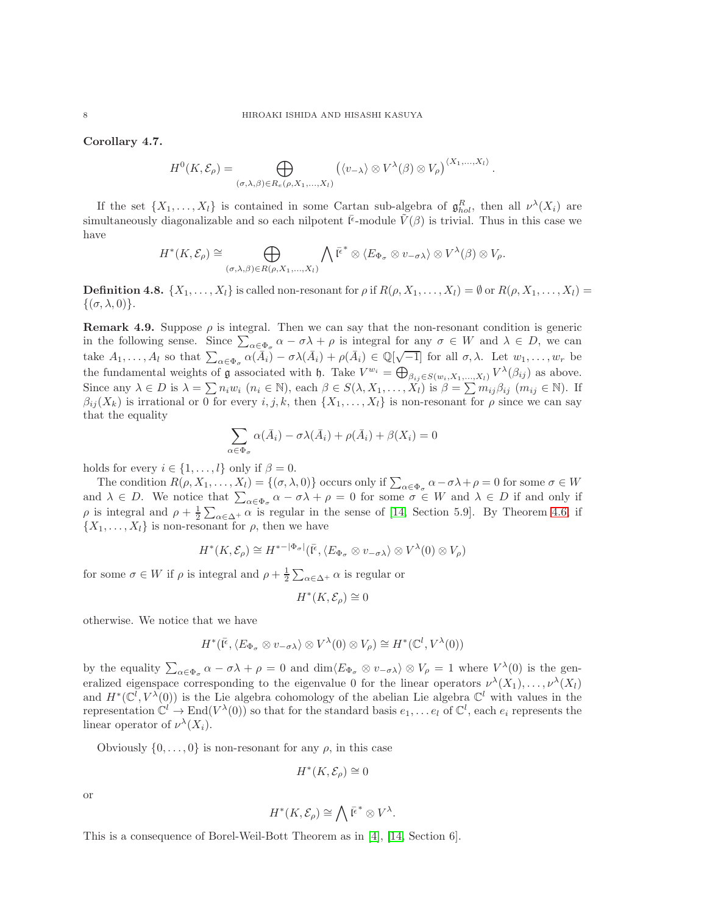Corollary 4.7.

$$
H^{0}(K,\mathcal{E}_{\rho}) = \bigoplus_{(\sigma,\lambda,\beta) \in R_{e}(\rho,X_{1},...,X_{l})} (\langle v_{-\lambda} \rangle \otimes V^{\lambda}(\beta) \otimes V_{\rho})^{\langle X_{1},...,X_{l} \rangle}.
$$

If the set  $\{X_1, \ldots, X_l\}$  is contained in some Cartan sub-algebra of  $\mathfrak{g}_{hol}^R$ , then all  $\nu^{\lambda}(X_i)$  are simultaneously diagonalizable and so each nilpotent  $\bar{l}^{\epsilon}$ -module  $\tilde{V}(\beta)$  is trivial. Thus in this case we have

$$
H^*(K,\mathcal{E}_{\rho}) \cong \bigoplus_{(\sigma,\lambda,\beta) \in R(\rho,X_1,\ldots,X_l)} \bigwedge \bar{\mathfrak{l}^{\epsilon}}^* \otimes \langle E_{\Phi_{\sigma}} \otimes v_{-\sigma\lambda} \rangle \otimes V^{\lambda}(\beta) \otimes V_{\rho}.
$$

**Definition 4.8.**  $\{X_1, \ldots, X_l\}$  is called non-resonant for  $\rho$  if  $R(\rho, X_1, \ldots, X_l) = \emptyset$  or  $R(\rho, X_1, \ldots, X_l) =$  $\{(\sigma, \lambda, 0)\}.$ 

<span id="page-7-0"></span>**Remark 4.9.** Suppose  $\rho$  is integral. Then we can say that the non-resonant condition is generic in the following sense. Since  $\sum_{\alpha \in \Phi_{\sigma}} \alpha - \sigma \lambda + \rho$  is integral for any  $\sigma \in W$  and  $\lambda \in D$ , we can take  $A_1, \ldots, A_l$  so that  $\sum_{\alpha \in \Phi_{\sigma}} \alpha(\bar{A}_i) - \sigma \lambda(\bar{A}_i) + \rho(\bar{A}_i) \in \mathbb{Q}[\sqrt{-1}]$  for all  $\sigma, \lambda$ . Let  $w_1, \ldots, w_r$  be the fundamental weights of **g** associated with **h**. Take  $V^{w_i} = \bigoplus_{\beta_{ij} \in S(w_i, X_1, ..., X_l)} V^{\lambda}(\beta_{ij})$  as above. Since any  $\lambda \in D$  is  $\lambda = \sum n_i w_i \ (n_i \in \mathbb{N})$ , each  $\beta \in S(\lambda, X_1, \dots, X_l)$  is  $\beta = \sum m_{ij} \beta_{ij} \ (m_{ij} \in \mathbb{N})$ . If  $\beta_{ij}(X_k)$  is irrational or 0 for every  $i, j, k$ , then  $\{X_1, \ldots, X_k\}$  is non-resonant for  $\rho$  since we can say that the equality

$$
\sum_{i \in \Phi_{\sigma}} \alpha(\bar{A}_i) - \sigma \lambda(\bar{A}_i) + \rho(\bar{A}_i) + \beta(X_i) = 0
$$

holds for every  $i \in \{1, \ldots, l\}$  only if  $\beta = 0$ .

The condition  $R(\rho, X_1, \ldots, X_l) = \{(\sigma, \lambda, 0)\}\)$  occurs only if  $\sum_{\alpha \in \Phi_{\sigma}} \alpha - \sigma \lambda + \rho = 0$  for some  $\sigma \in W$ and  $\lambda \in D$ . We notice that  $\sum_{\alpha \in \Phi_{\sigma}} \alpha - \sigma \lambda + \rho = 0$  for some  $\sigma \in W$  and  $\lambda \in D$  if and only if  $\rho$  is integral and  $\rho + \frac{1}{2} \sum_{\alpha \in \Delta^+} \alpha$  is regular in the sense of [\[14,](#page-11-12) Section 5.9]. By Theorem [4.6,](#page-6-0) if  $\{X_1, \ldots, X_l\}$  is non-resonant for  $\rho$ , then we have

$$
H^*(K,\mathcal{E}_{\rho}) \cong H^{*-|\Phi_{\sigma}|}(\overline{\mathfrak{l}^{\epsilon}},\langle E_{\Phi_{\sigma}} \otimes v_{-\sigma\lambda} \rangle \otimes V^{\lambda}(0) \otimes V_{\rho})
$$

for some  $\sigma \in W$  if  $\rho$  is integral and  $\rho + \frac{1}{2} \sum_{\alpha \in \Delta^+} \alpha$  is regular or

 $\overline{c}$ 

$$
H^*(K,\mathcal{E}_{\rho}) \cong 0
$$

otherwise. We notice that we have

$$
H^*(\bar{\mathfrak{l}^{\epsilon}},\langle E_{\Phi_{\sigma}} \otimes v_{-\sigma\lambda} \rangle \otimes V^{\lambda}(0) \otimes V_{\rho}) \cong H^*(\mathbb{C}^l,V^{\lambda}(0))
$$

by the equality  $\sum_{\alpha \in \Phi_{\sigma}} \alpha - \sigma \lambda + \rho = 0$  and  $\dim \langle E_{\Phi_{\sigma}} \otimes v_{-\sigma \lambda} \rangle \otimes V_{\rho} = 1$  where  $V^{\lambda}(0)$  is the generalized eigenspace corresponding to the eigenvalue 0 for the linear operators  $\nu^{\lambda}(X_1), \ldots, \nu^{\lambda}(X_l)$ and  $H^*(\mathbb{C}^l, V^{\lambda}(0))$  is the Lie algebra cohomology of the abelian Lie algebra  $\mathbb{C}^l$  with values in the representation  $\mathbb{C}^l \to \text{End}(V^{\lambda}(0))$  so that for the standard basis  $e_1, \ldots e_l$  of  $\mathbb{C}^l$ , each  $e_i$  represents the linear operator of  $\nu^{\lambda}(X_i)$ .

Obviously  $\{0, \ldots, 0\}$  is non-resonant for any  $\rho$ , in this case

$$
H^*(K,\mathcal{E}_{\rho}) \cong 0
$$

or

$$
H^*(K,\mathcal{E}_{\rho}) \cong \bigwedge \bar{\mathfrak{l}^{\epsilon}}^* \otimes V^{\lambda}.
$$

This is a consequence of Borel-Weil-Bott Theorem as in [\[4\]](#page-11-0), [\[14,](#page-11-12) Section 6].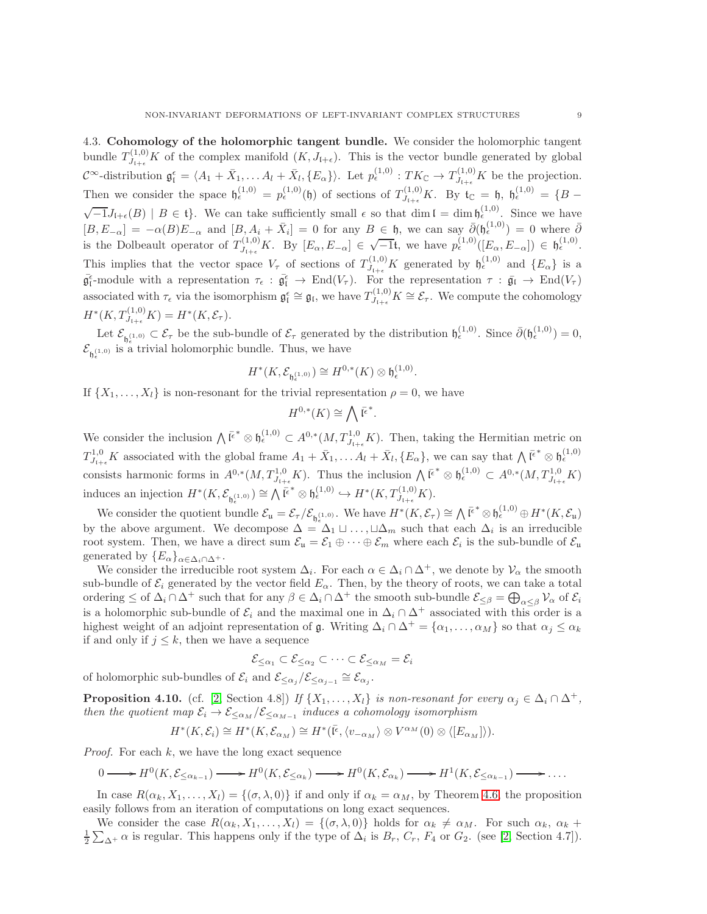4.3. Cohomology of the holomorphic tangent bundle. We consider the holomorphic tangent bundle  $T^{(1,0)}_{J_{\mathfrak{l}+\epsilon}}K$  of the complex manifold  $(K, J_{\mathfrak{l}+\epsilon})$ . This is the vector bundle generated by global  $\mathcal{C}^{\infty}$ -distribution  $\mathfrak{g}^{\epsilon}_{\mathfrak{l}} = \langle A_1 + \bar{X}_1, \ldots A_l + \bar{X}_l, \{E_{\alpha}\}\rangle$ . Let  $p_{\epsilon}^{(1,0)} : TK_{\mathbb{C}} \to T_{J_{\mathfrak{l}+\epsilon}}^{(1,0)}K$  be the projection. Then we consider the space  $\mathfrak{h}_{\epsilon}^{(1,0)} = p_{\epsilon}^{(1,0)}(\mathfrak{h})$  of sections of  $T_{J_{\mathfrak{l}+\epsilon}}^{(1,0)}K$ . By  $\mathfrak{t}_{\mathbb{C}} = \mathfrak{h}, \mathfrak{h}_{\epsilon}^{(1,0)} = \{B - \epsilon\}$  $\sqrt{-1}J_{\mathfrak{l}+\epsilon}(B) \mid B \in \mathfrak{t}$ . We can take sufficiently small  $\epsilon$  so that dim  $\mathfrak{l} = \dim \mathfrak{h}_{\epsilon}^{(1,0)}$ . Since we have  $[B, E_{-\alpha}] = -\alpha(B)E_{-\alpha}$  and  $[B, A_i + \bar{X}_i] = 0$  for any  $B \in \mathfrak{h}$ , we can say  $\bar{\partial}(\mathfrak{h}_{\epsilon}^{(1,0)}) = 0$  where  $\bar{\partial}$ is the Dolbeault operator of  $T^{(1,0)}_{J_{1+\epsilon}}K$ . By  $[E_{\alpha}, E_{-\alpha}] \in \sqrt{-1}$ t, we have  $p_{\epsilon}^{(1,0)}([E_{\alpha}, E_{-\alpha}]) \in \mathfrak{h}_{\epsilon}^{(1,0)}$ . This implies that the vector space  $V_{\tau}$  of sections of  $T_{J_{1+\epsilon}}^{(1,0)}K$  generated by  $\mathfrak{h}_{\epsilon}^{(1,0)}$  and  $\{E_{\alpha}\}\$ is a  $\bar{\mathfrak{g}}_{\mathfrak{l}}^{\epsilon}$ -module with a representation  $\tau_{\epsilon} : \bar{\mathfrak{g}}_{\mathfrak{l}} \to \text{End}(V_{\tau})$ . For the representation  $\tau : \bar{\mathfrak{g}}_{\mathfrak{l}} \to \text{End}(V_{\tau})$ associated with  $\tau_{\epsilon}$  via the isomorphism  $\mathfrak{g}_{\mathfrak{l}}^{\epsilon} \cong \mathfrak{g}_{\mathfrak{l}}$ , we have  $T_{J_{\mathfrak{l}+\epsilon}}^{(1,0)} K \cong \mathcal{E}_{\tau}$ . We compute the cohomology  $H^*(K, T^{(1,0)}_{J_{1+\epsilon}} K) = H^*(K, \mathcal{E}_{\tau}).$ 

Let  $\mathcal{E}_{\mathfrak{h}_{\epsilon}^{(1,0)}} \subset \mathcal{E}_{\tau}$  be the sub-bundle of  $\mathcal{E}_{\tau}$  generated by the distribution  $\mathfrak{h}_{\epsilon}^{(1,0)}$ . Since  $\bar{\partial}(\mathfrak{h}_{\epsilon}^{(1,0)}) = 0$ ,  $\mathcal{E}_{\mathfrak{h}_{\epsilon}^{(1,0)}}$  is a trivial holomorphic bundle. Thus, we have

$$
H^*(K,\mathcal{E}_{\mathfrak{h}_\epsilon^{(1,0)}}) \cong H^{0,*}(K) \otimes \mathfrak{h}_\epsilon^{(1,0)}.
$$

If  $\{X_1, \ldots, X_l\}$  is non-resonant for the trivial representation  $\rho = 0$ , we have

$$
H^{0,*}(K) \cong \bigwedge \bar{\mathfrak{l}^{\epsilon}}^*.
$$

We consider the inclusion  $\bigwedge \overline{\mathfrak{l}^{\epsilon}}^* \otimes \mathfrak{h}_{\epsilon}^{(1,0)} \subset A^{0,*}(M,T^{1,0}_{J_{\mathfrak{l}+\epsilon}}K)$ . Then, taking the Hermitian metric on  $T^{1,0}_{J_{l+\epsilon}}K$  associated with the global frame  $A_1 + \bar{X}_1, \ldots A_l + \bar{X}_l, \{E_\alpha\}$ , we can say that  $\bigwedge \bar{\mathfrak{l}}^{\epsilon^*} \otimes \mathfrak{h}_{\epsilon}^{(1,0)}$ consists harmonic forms in  $A^{0,*}(M,T^{1,0}_{J_{l+\epsilon}}K)$ . Thus the inclusion  $\bigwedge \overline{\mathfrak{l}^{\epsilon}}^* \otimes \mathfrak{h}^{(1,0)}_{\epsilon} \subset A^{0,*}(M,T^{1,0}_{J_{l+\epsilon}}K)$ induces an injection  $H^*(K, \mathcal{E}_{\mathfrak{h}^{(1,0)}}) \cong \bigwedge \overline{\mathfrak{l}^{\epsilon}}^* \otimes \mathfrak{h}^{(1,0)}_{\epsilon} \hookrightarrow H^*(K, T^{(1,0)}_{J_{\mathfrak{l}+\epsilon}} K).$ 

We consider the quotient bundle  $\mathcal{E}_{\mathfrak{u}} = \mathcal{E}_{\tau} / \mathcal{E}_{\mathfrak{h}_{\epsilon}^{(1,0)}}$ . We have  $H^*(K, \mathcal{E}_{\tau}) \cong \bigwedge \overline{\mathfrak{l}^{\epsilon}}^* \otimes \mathfrak{h}_{\epsilon}^{(1,0)} \oplus H^*(K, \mathcal{E}_{\mathfrak{u}})$ by the above argument. We decompose  $\Delta = \Delta_1 \sqcup \ldots, \sqcup \Delta_m$  such that each  $\Delta_i$  is an irreducible root system. Then, we have a direct sum  $\mathcal{E}_{\mathfrak{u}} = \mathcal{E}_1 \oplus \cdots \oplus \mathcal{E}_m$  where each  $\mathcal{E}_i$  is the sub-bundle of  $\mathcal{E}_{\mathfrak{u}}$ generated by  $\{E_{\alpha}\}_{{\alpha}\in{\Delta_i\cap\Delta^+}}$ .

We consider the irreducible root system  $\Delta_i$ . For each  $\alpha \in \Delta_i \cap \Delta^+$ , we denote by  $\mathcal{V}_{\alpha}$  the smooth sub-bundle of  $\mathcal{E}_i$  generated by the vector field  $E_\alpha$ . Then, by the theory of roots, we can take a total ordering  $\leq$  of  $\Delta_i \cap \Delta^+$  such that for any  $\beta \in \Delta_i \cap \Delta^+$  the smooth sub-bundle  $\mathcal{E}_{\leq \beta} = \bigoplus_{\alpha \leq \beta} \mathcal{V}_{\alpha}$  of  $\mathcal{E}_i$ is a holomorphic sub-bundle of  $\mathcal{E}_i$  and the maximal one in  $\Delta_i \cap \Delta^+$  associated with this order is a highest weight of an adjoint representation of g. Writing  $\Delta_i \cap \Delta^+ = {\alpha_1, \dots, \alpha_M}$  so that  $\alpha_j \leq \alpha_k$ if and only if  $j \leq k$ , then we have a sequence

$$
\mathcal{E}_{\leq \alpha_1} \subset \mathcal{E}_{\leq \alpha_2} \subset \cdots \subset \mathcal{E}_{\leq \alpha_M} = \mathcal{E}_i
$$

of holomorphic sub-bundles of  $\mathcal{E}_i$  and  $\mathcal{E}_{\leq \alpha_j}/\mathcal{E}_{\leq \alpha_{j-1}} \cong \mathcal{E}_{\alpha_j}$ .

**Proposition 4.10.** (cf. [\[2,](#page-11-1) Section 4.8]) If  $\{X_1, \ldots, X_l\}$  is non-resonant for every  $\alpha_i \in \Delta_i \cap \Delta^+$ , then the quotient map  $\mathcal{E}_i \to \mathcal{E}_{\leq \alpha_M}/\mathcal{E}_{\leq \alpha_{M-1}}$  induces a cohomology isomorphism

$$
H^*(K,\mathcal{E}_i)\cong H^*(K,\mathcal{E}_{\alpha_M})\cong H^*(\overline{\mathfrak{l}^{\epsilon}},\langle v_{-\alpha_M}\rangle\otimes V^{\alpha_M}(0)\otimes\langle [E_{\alpha_M}]\rangle).
$$

*Proof.* For each  $k$ , we have the long exact sequence

$$
0 \longrightarrow H^{0}(K, \mathcal{E}_{\leq \alpha_{k-1}}) \longrightarrow H^{0}(K, \mathcal{E}_{\leq \alpha_{k}}) \longrightarrow H^{0}(K, \mathcal{E}_{\alpha_{k}}) \longrightarrow H^{1}(K, \mathcal{E}_{\leq \alpha_{k-1}}) \longrightarrow \dots
$$

In case  $R(\alpha_k, X_1, \ldots, X_l) = \{(\sigma, \lambda, 0)\}\$ if and only if  $\alpha_k = \alpha_M$ , by Theorem [4.6,](#page-6-0) the proposition easily follows from an iteration of computations on long exact sequences.

We consider the case  $R(\alpha_k, X_1, \ldots, X_l) = \{(\sigma, \lambda, 0)\}\)$  holds for  $\alpha_k \neq \alpha_M$ . For such  $\alpha_k, \alpha_k + \alpha_k$  $\frac{1}{2}\sum_{\Delta^+}\alpha$  is regular. This happens only if the type of  $\Delta_i$  is  $B_r$ ,  $C_r$ ,  $F_4$  or  $G_2$ . (see [\[2,](#page-11-1) Section 4.7]).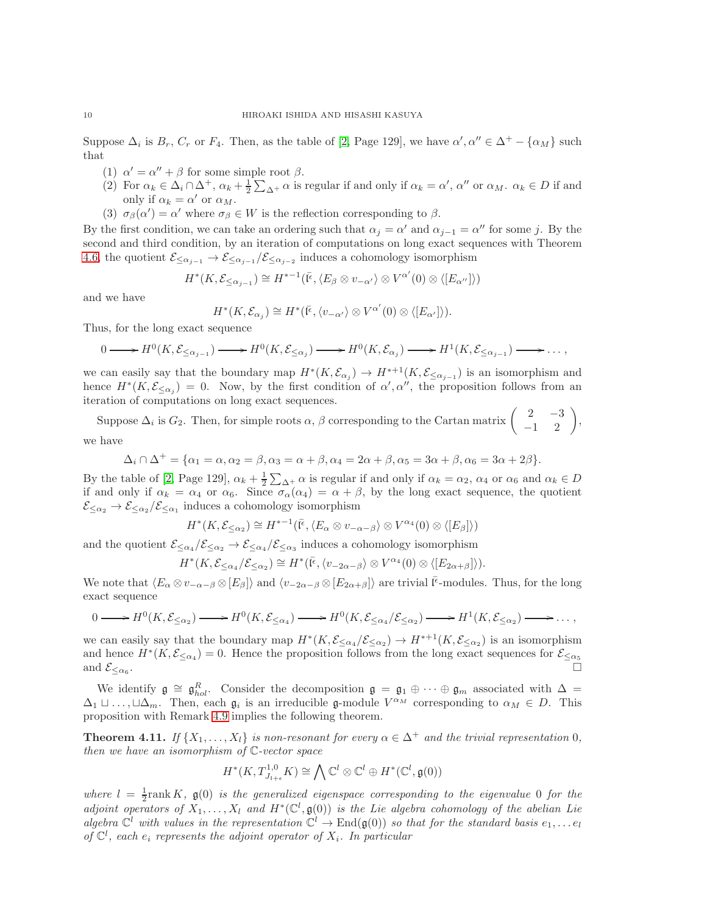Suppose  $\Delta_i$  is  $B_r$ ,  $C_r$  or  $F_4$ . Then, as the table of [\[2,](#page-11-1) Page 129], we have  $\alpha', \alpha'' \in \Delta^+ - {\alpha_M}$  such that

- (1)  $\alpha' = \alpha'' + \beta$  for some simple root  $\beta$ .
- (2) For  $\alpha_k \in \Delta_i \cap \Delta^+$ ,  $\alpha_k + \frac{1}{2} \sum_{\Delta^+} \alpha$  is regular if and only if  $\alpha_k = \alpha'$ ,  $\alpha''$  or  $\alpha_M$ .  $\alpha_k \in D$  if and only if  $\alpha_k = \alpha'$  or  $\alpha_M$ .
- (3)  $\sigma_{\beta}(\alpha') = \alpha'$  where  $\sigma_{\beta} \in W$  is the reflection corresponding to  $\beta$ .

By the first condition, we can take an ordering such that  $\alpha_j = \alpha'$  and  $\alpha_{j-1} = \alpha''$  for some j. By the second and third condition, by an iteration of computations on long exact sequences with Theorem [4.6,](#page-6-0) the quotient  $\mathcal{E}_{\leq \alpha_{j-1}} \to \mathcal{E}_{\leq \alpha_{j-1}}/\mathcal{E}_{\leq \alpha_{j-2}}$  induces a cohomology isomorphism

$$
H^*(K, \mathcal{E}_{\leq \alpha_{j-1}}) \cong H^{*-1}(\overline{\mathfrak{l}^{\epsilon}}, \langle E_{\beta} \otimes v_{-\alpha'} \rangle \otimes V^{\alpha'}(0) \otimes \langle [E_{\alpha''}] \rangle)
$$

and we have

$$
H^*(K,\mathcal{E}_{\alpha_j}) \cong H^*(\bar{\mathfrak{l}^e}, \langle v_{-\alpha'} \rangle \otimes V^{\alpha'}(0) \otimes \langle [E_{\alpha'}] \rangle).
$$

Thus, for the long exact sequence

$$
0 \longrightarrow H^0(K, \mathcal{E}_{\leq \alpha_{j-1}}) \longrightarrow H^0(K, \mathcal{E}_{\leq \alpha_j}) \longrightarrow H^0(K, \mathcal{E}_{\alpha_j}) \longrightarrow H^1(K, \mathcal{E}_{\leq \alpha_{j-1}}) \longrightarrow \dots,
$$

we can easily say that the boundary map  $H^*(K,\mathcal{E}_{\alpha_j}) \to H^{*+1}(K,\mathcal{E}_{\leq \alpha_{j-1}})$  is an isomorphism and hence  $H^*(K, \mathcal{E}_{\leq \alpha_j}) = 0$ . Now, by the first condition of  $\alpha', \alpha''$ , the proposition follows from an iteration of computations on long exact sequences.

Suppose  $\Delta_i$  is  $G_2$ . Then, for simple roots  $\alpha$ ,  $\beta$  corresponding to the Cartan matrix  $\begin{pmatrix} 2 & -3 \\ -1 & 2 \end{pmatrix}$ , we have

$$
\Delta_i \cap \Delta^+ = {\alpha_1 = \alpha, \alpha_2 = \beta, \alpha_3 = \alpha + \beta, \alpha_4 = 2\alpha + \beta, \alpha_5 = 3\alpha + \beta, \alpha_6 = 3\alpha + 2\beta}.
$$

By the table of [\[2,](#page-11-1) Page 129],  $\alpha_k + \frac{1}{2} \sum_{\Delta^+} \alpha$  is regular if and only if  $\alpha_k = \alpha_2$ ,  $\alpha_4$  or  $\alpha_6$  and  $\alpha_k \in D$ if and only if  $\alpha_k = \alpha_4$  or  $\alpha_6$ . Since  $\sigma_\alpha(\alpha_4) = \alpha + \beta$ , by the long exact sequence, the quotient  $\mathcal{E}_{\leq \alpha_2} \to \mathcal{E}_{\leq \alpha_2} / \mathcal{E}_{\leq \alpha_1}$  induces a cohomology isomorphism

$$
H^*(K, \mathcal{E}_{\leq \alpha_2}) \cong H^{*-1}(\overline{\mathfrak{l}^{\epsilon}}, \langle E_{\alpha} \otimes v_{-\alpha-\beta} \rangle \otimes V^{\alpha_4}(0) \otimes \langle [E_{\beta}] \rangle)
$$

and the quotient  $\mathcal{E}_{\leq \alpha_4}/\mathcal{E}_{\leq \alpha_2} \to \mathcal{E}_{\leq \alpha_4}/\mathcal{E}_{\leq \alpha_3}$  induces a cohomology isomorphism

$$
H^*(K, \mathcal{E}_{\leq \alpha_4}/\mathcal{E}_{\leq \alpha_2}) \cong H^*(\bar{\mathfrak{l}^{\epsilon}}, \langle v_{-2\alpha-\beta} \rangle \otimes V^{\alpha_4}(0) \otimes \langle [E_{2\alpha+\beta}]\rangle).
$$

We note that  $\langle E_\alpha \otimes v_{-\alpha-\beta} \otimes [E_\beta] \rangle$  and  $\langle v_{-2\alpha-\beta} \otimes [E_{2\alpha+\beta}] \rangle$  are trivial  $\bar{I}^{\epsilon}$ -modules. Thus, for the long exact sequence

$$
0 \longrightarrow H^0(K, \mathcal{E}_{\leq \alpha_2}) \longrightarrow H^0(K, \mathcal{E}_{\leq \alpha_4}) \longrightarrow H^0(K, \mathcal{E}_{\leq \alpha_4}/\mathcal{E}_{\leq \alpha_2}) \longrightarrow H^1(K, \mathcal{E}_{\leq \alpha_2}) \longrightarrow \dots,
$$

we can easily say that the boundary map  $H^*(K, \mathcal{E}_{\leq \alpha_4}/\mathcal{E}_{\leq \alpha_2}) \to H^{*+1}(K, \mathcal{E}_{\leq \alpha_2})$  is an isomorphism and hence  $H^*(K,\mathcal{E}_{\leq \alpha_4})=0$ . Hence the proposition follows from the long exact sequences for  $\mathcal{E}_{\leq \alpha_5}$ and  $\mathcal{E}_{\leq \alpha_6}$ . .

We identify  $\mathfrak{g} \cong \mathfrak{g}_{hol}^R$ . Consider the decomposition  $\mathfrak{g} = \mathfrak{g}_1 \oplus \cdots \oplus \mathfrak{g}_m$  associated with  $\Delta =$  $\Delta_1 \sqcup \ldots, \sqcup \Delta_m$ . Then, each  $\mathfrak{g}_i$  is an irreducible g-module  $V^{\alpha_M}$  corresponding to  $\alpha_M \in D$ . This proposition with Remark [4.9](#page-7-0) implies the following theorem.

<span id="page-9-0"></span>**Theorem 4.11.** If  $\{X_1, \ldots, X_l\}$  is non-resonant for every  $\alpha \in \Delta^+$  and the trivial representation 0, then we have an isomorphism of C-vector space

$$
H^*(K, T^{1,0}_{J_{i+\epsilon}} K) \cong \bigwedge \mathbb{C}^l \otimes \mathbb{C}^l \oplus H^*(\mathbb{C}^l, \mathfrak{g}(0))
$$

where  $l = \frac{1}{2}$ rank K,  $\mathfrak{g}(0)$  is the generalized eigenspace corresponding to the eigenvalue 0 for the adjoint operators of  $X_1, \ldots, X_l$  and  $H^*(\mathbb{C}^l, \mathfrak{g}(0))$  is the Lie algebra cohomology of the abelian Lie algebra  $\mathbb{C}^l$  with values in the representation  $\mathbb{C}^l \to \text{End}(\mathfrak{g}(0))$  so that for the standard basis  $e_1, \ldots e_l$ of  $\mathbb{C}^l$ , each  $e_i$  represents the adjoint operator of  $X_i$ . In particular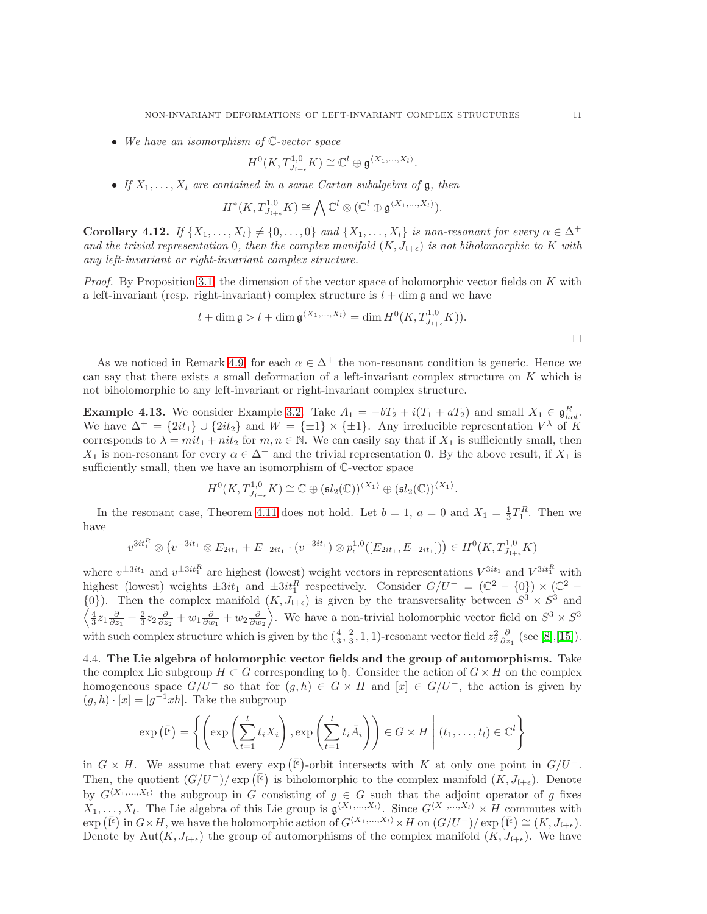• We have an isomorphism of  $\mathbb{C}\text{-vector space}$ 

$$
H^0(K, T^{1,0}_{J_{\mathfrak{l}+\epsilon}} K) \cong \mathbb{C}^l \oplus \mathfrak{g}^{\langle X_1, \ldots, X_l \rangle}.
$$

• If  $X_1, \ldots, X_l$  are contained in a same Cartan subalgebra of  $\mathfrak{g}$ , then

$$
H^*(K, T^{1,0}_{J_{1+\epsilon}} K) \cong \bigwedge \mathbb{C}^l \otimes (\mathbb{C}^l \oplus \mathfrak{g}^{\langle X_1, ..., X_l \rangle}).
$$

<span id="page-10-0"></span>Corollary 4.12. If  $\{X_1, \ldots, X_l\} \neq \{0, \ldots, 0\}$  and  $\{X_1, \ldots, X_l\}$  is non-resonant for every  $\alpha \in \Delta^+$ and the trivial representation 0, then the complex manifold  $(K, J_{\{+\epsilon\}})$  is not biholomorphic to K with any left-invariant or right-invariant complex structure.

*Proof.* By Proposition [3.1,](#page-2-0) the dimension of the vector space of holomorphic vector fields on  $K$  with a left-invariant (resp. right-invariant) complex structure is  $l + \dim \mathfrak{g}$  and we have

$$
l + \dim \mathfrak{g} > l + \dim \mathfrak{g}^{\langle X_1, \dots, X_l \rangle} = \dim H^0(K, T^{1,0}_{J_{1+\epsilon}} K)).
$$

As we noticed in Remark [4.9,](#page-7-0) for each  $\alpha \in \Delta^+$  the non-resonant condition is generic. Hence we can say that there exists a small deformation of a left-invariant complex structure on  $K$  which is not biholomorphic to any left-invariant or right-invariant complex structure.

**Example 4.13.** We consider Example [3.2.](#page-3-0) Take  $A_1 = -bT_2 + i(T_1 + aT_2)$  and small  $X_1 \in \mathfrak{g}_{hol}^R$ . We have  $\Delta^+ = \{2it_1\} \cup \{2it_2\}$  and  $W = \{\pm 1\} \times \{\pm 1\}$ . Any irreducible representation  $V^{\lambda}$  of K corresponds to  $\lambda = mit_1 + nit_2$  for  $m, n \in \mathbb{N}$ . We can easily say that if  $X_1$  is sufficiently small, then  $X_1$  is non-resonant for every  $\alpha \in \Delta^+$  and the trivial representation 0. By the above result, if  $X_1$  is sufficiently small, then we have an isomorphism of C-vector space

$$
H^0(K, T^{1,0}_{J_{1+\epsilon}} K) \cong \mathbb{C} \oplus (\mathfrak{sl}_2(\mathbb{C}))^{\langle X_1 \rangle} \oplus (\mathfrak{sl}_2(\mathbb{C}))^{\langle X_1 \rangle}.
$$

In the resonant case, Theorem [4.11](#page-9-0) does not hold. Let  $b = 1$ ,  $a = 0$  and  $X_1 = \frac{1}{3}T_1^R$ . Then we have

$$
v^{3it_1^R} \otimes (v^{-3it_1} \otimes E_{2it_1} + E_{-2it_1} \cdot (v^{-3it_1}) \otimes p_{\epsilon}^{1,0}([E_{2it_1}, E_{-2it_1}])) \in H^0(K, T^{1,0}_{J_{1+\epsilon}}K)
$$

where  $v^{\pm 3it_1}$  and  $v^{\pm 3it_1^R}$  are highest (lowest) weight vectors in representations  $V^{3it_1}$  and  $V^{3it_1^R}$  with highest (lowest) weights  $\pm 3it_1$  and  $\pm 3it_1^R$  respectively. Consider  $G/U^- = (\mathbb{C}^2 - \{0\}) \times (\mathbb{C}^2 \{0\}$ ). Then the complex manifold  $(K, J_{\mathfrak{l}+\epsilon})$  is given by the transversality between  $S^3 \times S^3$  and  $\left\langle \frac{4}{3}z_1\frac{\partial}{\partial z_1}+\frac{2}{3}z_2\frac{\partial}{\partial z_2}+w_1\frac{\partial}{\partial w_1}+w_2\frac{\partial}{\partial w_2}\right\rangle$ . We have a non-trivial holomorphic vector field on  $S^3 \times S^3$ with such complex structure which is given by the  $(\frac{4}{3}, \frac{2}{3}, 1, 1)$ -resonant vector field  $z_2^2 \frac{\partial}{\partial z_1}$  (see [\[8\]](#page-11-11),[\[15\]](#page-11-8)).

4.4. The Lie algebra of holomorphic vector fields and the group of automorphisms. Take the complex Lie subgroup  $H \subset G$  corresponding to h. Consider the action of  $G \times H$  on the complex homogeneous space  $G/U^-$  so that for  $(g, h) \in G \times H$  and  $[x] \in G/U^-$ , the action is given by  $(g, h) \cdot [x] = [g^{-1}xh]$ . Take the subgroup

$$
\exp\left(\overline{\mathfrak{l}^{\epsilon}}\right) = \left\{ \left( \exp\left(\sum_{t=1}^{l} t_{i} X_{i}\right), \exp\left(\sum_{t=1}^{l} t_{i} \overline{A}_{i}\right) \right) \in G \times H \mid (t_{1}, \ldots, t_{l}) \in \mathbb{C}^{l} \right\}
$$

in  $G \times H$ . We assume that every  $\exp(\bar{F})$ -orbit intersects with K at only one point in  $G/U^-$ . Then, the quotient  $(G/U^-)/\exp(\bar{F})$  is biholomorphic to the complex manifold  $(K, J_{H+\epsilon})$ . Denote by  $G^{\langle X_1,...,X_l\rangle}$  the subgroup in G consisting of  $g \in G$  such that the adjoint operator of g fixes  $X_1, \ldots, X_l$ . The Lie algebra of this Lie group is  $\mathfrak{g}^{\langle X_1, \ldots, X_l \rangle}$ . Since  $G^{\langle X_1, \ldots, X_l \rangle} \times H$  commutes with  $\exp\left(\overline{\mathfrak{l}^{\epsilon}}\right)$  in  $G\times H$ , we have the holomorphic action of  $G^{\langle X_1,...,X_l\rangle}\times H$  on  $(G/U^-)/\exp\left(\overline{\mathfrak{l}^{\epsilon}}\right)\cong (K, J_{\mathfrak{l}+\epsilon}).$ Denote by Aut $(K, J_{\mathfrak{l}+\epsilon})$  the group of automorphisms of the complex manifold  $(K, J_{\mathfrak{l}+\epsilon})$ . We have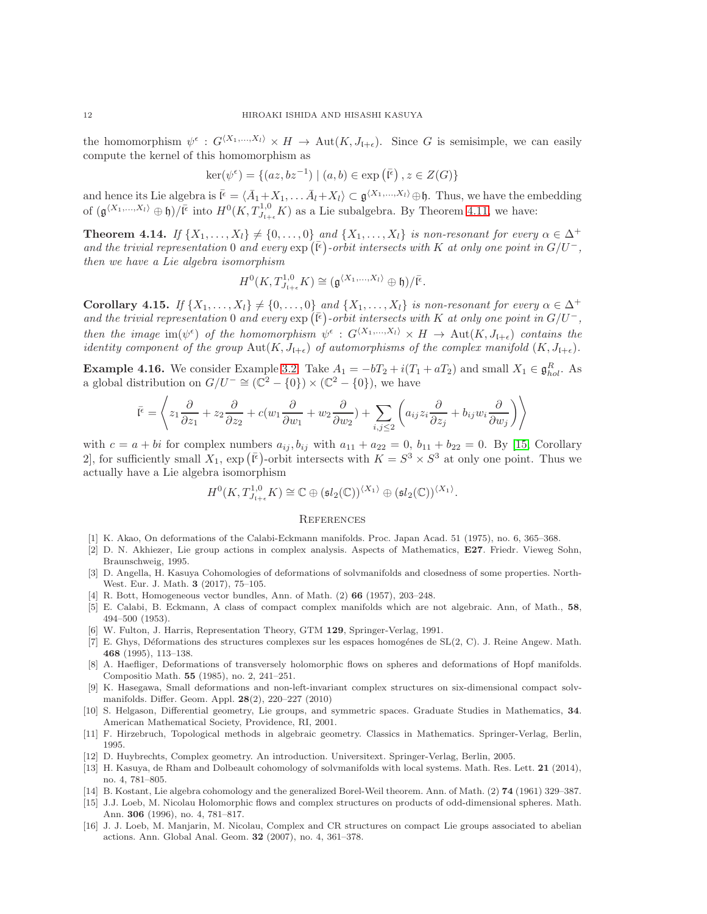the homomorphism  $\psi^{\epsilon}: G^{\langle X_1,...,X_l\rangle} \times H \to \text{Aut}(K, J_{l+\epsilon})$ . Since G is semisimple, we can easily compute the kernel of this homomorphism as

$$
\ker(\psi^{\epsilon}) = \{ (az, bz^{-1}) \mid (a, b) \in \exp(\bar{\mathfrak{l}^{\epsilon}}), z \in Z(G) \}
$$

and hence its Lie algebra is  $\bar{l}^{\epsilon} = \langle \bar{A}_1 + X_1, \ldots \bar{A}_l + X_l \rangle \subset \mathfrak{g}^{\langle X_1, \ldots, X_l \rangle} \oplus \mathfrak{h}$ . Thus, we have the embedding of  $(\mathfrak{g}^{\langle X_1,\ldots,X_l\rangle}\oplus\mathfrak{h})/\bar{\mathfrak{l}^{\epsilon}}$  into  $H^0(K,T^{1,0}_{J_{\mathfrak{l}+\epsilon}}K)$  as a Lie subalgebra. By Theorem [4.11,](#page-9-0) we have:

**Theorem 4.14.** If  $\{X_1, \ldots, X_l\} \neq \{0, \ldots, 0\}$  and  $\{X_1, \ldots, X_l\}$  is non-resonant for every  $\alpha \in \Delta^+$ and the trivial representation 0 and every  $\exp(\bar{F})$ -orbit intersects with K at only one point in  $G/U^-$ , then we have a Lie algebra isomorphism

$$
H^0(K, T^{1,0}_{J_{1+\epsilon}} K) \cong (\mathfrak{g}^{\langle X_1, ..., X_l \rangle} \oplus \mathfrak{h}) / \overline{\mathfrak{l}^{\epsilon}}.
$$

Corollary 4.15. If  $\{X_1, \ldots, X_l\} \neq \{0, \ldots, 0\}$  and  $\{X_1, \ldots, X_l\}$  is non-resonant for every  $\alpha \in \Delta^+$ and the trivial representation 0 and every  $\exp(\bar{F})$ -orbit intersects with K at only one point in  $G/U^-$ , then the image  $\text{im}(\psi^{\epsilon})$  of the homomorphism  $\psi^{\epsilon}: G^{\langle X_1,...,X_l\rangle} \times H \to \text{Aut}(K, J_{l+\epsilon})$  contains the identity component of the group  $Aut(K, J_{l+\epsilon})$  of automorphisms of the complex manifold  $(K, J_{l+\epsilon})$ .

**Example 4.16.** We consider Example [3.2.](#page-3-0) Take  $A_1 = -bT_2 + i(T_1 + aT_2)$  and small  $X_1 \in \mathfrak{g}_{hol}^R$ . As a global distribution on  $G/U^- \cong (\mathbb{C}^2 - \{0\}) \times (\mathbb{C}^2 - \{0\})$ , we have

$$
\bar{\mathfrak{l}^{\epsilon}} = \left\langle z_1 \frac{\partial}{\partial z_1} + z_2 \frac{\partial}{\partial z_2} + c(w_1 \frac{\partial}{\partial w_1} + w_2 \frac{\partial}{\partial w_2}) + \sum_{i,j \leq 2} \left( a_{ij} z_i \frac{\partial}{\partial z_j} + b_{ij} w_i \frac{\partial}{\partial w_j} \right) \right\rangle
$$

with  $c = a + bi$  for complex numbers  $a_{ij}, b_{ij}$  with  $a_{11} + a_{22} = 0$ ,  $b_{11} + b_{22} = 0$ . By [\[15,](#page-11-8) Corollary 2, for sufficiently small  $X_1$ ,  $\exp\left(\overline{\mathfrak{l}^{\epsilon}}\right)$ -orbit intersects with  $K = S^3 \times S^3$  at only one point. Thus we actually have a Lie algebra isomorphism

$$
H^0(K, T^{1,0}_{J_{1+\epsilon}} K) \cong \mathbb{C} \oplus (\mathfrak{sl}_2(\mathbb{C}))^{\langle X_1 \rangle} \oplus (\mathfrak{sl}_2(\mathbb{C}))^{\langle X_1 \rangle}.
$$

#### **REFERENCES**

- <span id="page-11-6"></span><span id="page-11-1"></span>[1] K. Akao, On deformations of the Calabi-Eckmann manifolds. Proc. Japan Acad. 51 (1975), no. 6, 365–368.
- [2] D. N. Akhiezer, Lie group actions in complex analysis. Aspects of Mathematics, E27. Friedr. Vieweg Sohn, Braunschweig, 1995.
- <span id="page-11-3"></span>[3] D. Angella, H. Kasuya Cohomologies of deformations of solvmanifolds and closedness of some properties. North-West. Eur. J. Math. 3 (2017), 75–105.
- <span id="page-11-5"></span><span id="page-11-0"></span>[4] R. Bott, Homogeneous vector bundles, Ann. of Math. (2) 66 (1957), 203–248.
- [5] E. Calabi, B. Eckmann, A class of compact complex manifolds which are not algebraic. Ann, of Math., 58, 494–500 (1953).
- <span id="page-11-2"></span>[6] W. Fulton, J. Harris, Representation Theory, GTM 129, Springer-Verlag, 1991.
- [7] E. Ghys, Déformations des structures complexes sur les espaces homogénes de SL(2, C). J. Reine Angew. Math. 468 (1995), 113–138.
- <span id="page-11-11"></span>[8] A. Haefliger, Deformations of transversely holomorphic flows on spheres and deformations of Hopf manifolds. Compositio Math. 55 (1985), no. 2, 241–251.
- <span id="page-11-4"></span>[9] K. Hasegawa, Small deformations and non-left-invariant complex structures on six-dimensional compact solvmanifolds. Differ. Geom. Appl. 28(2), 220–227 (2010)
- [10] S. Helgason, Differential geometry, Lie groups, and symmetric spaces. Graduate Studies in Mathematics, 34. American Mathematical Society, Providence, RI, 2001.
- <span id="page-11-9"></span>[11] F. Hirzebruch, Topological methods in algebraic geometry. Classics in Mathematics. Springer-Verlag, Berlin, 1995.
- <span id="page-11-13"></span><span id="page-11-10"></span>[12] D. Huybrechts, Complex geometry. An introduction. Universitext. Springer-Verlag, Berlin, 2005.
- [13] H. Kasuya, de Rham and Dolbeault cohomology of solvmanifolds with local systems. Math. Res. Lett. 21 (2014), no. 4, 781–805.
- <span id="page-11-12"></span><span id="page-11-8"></span>[14] B. Kostant, Lie algebra cohomology and the generalized Borel-Weil theorem. Ann. of Math. (2) 74 (1961) 329–387.
- [15] J.J. Loeb, M. Nicolau Holomorphic flows and complex structures on products of odd-dimensional spheres. Math. Ann. 306 (1996), no. 4, 781–817.
- <span id="page-11-7"></span>[16] J. J. Loeb, M. Manjarin, M. Nicolau, Complex and CR structures on compact Lie groups associated to abelian actions. Ann. Global Anal. Geom. 32 (2007), no. 4, 361–378.